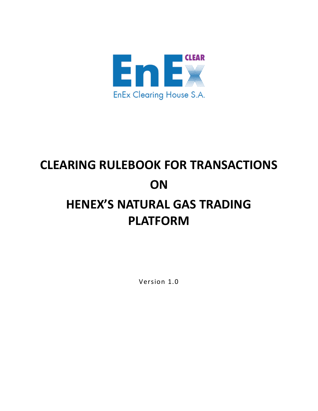

# **CLEARING RULEBOOK FOR TRANSACTIONS ON HENEX'S NATURAL GAS TRADING PLATFORM**

Version 1.0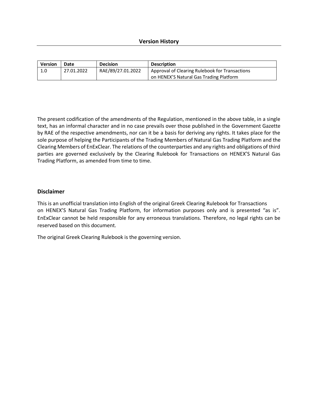| Version | Date       | <b>Decision</b>   | <b>Description</b>                             |
|---------|------------|-------------------|------------------------------------------------|
| 1.0     | 27.01.2022 | RAE/89/27.01.2022 | Approval of Clearing Rulebook for Transactions |
|         |            |                   | on HENEX'S Natural Gas Trading Platform        |

The present codification of the amendments of the Regulation, mentioned in the above table, in a single text, has an informal character and in no case prevails over those published in the Government Gazette by RAE of the respective amendments, nor can it be a basis for deriving any rights. It takes place for the sole purpose of helping the Participants of the Trading Members of Natural Gas Trading Platform and the Clearing Members of EnExClear. The relations of the counterparties and any rights and obligations of third parties are governed exclusively by the Clearing Rulebook for Transactions on HENEX'S Natural Gas Trading Platform, as amended from time to time.

# **Disclaimer**

This is an unofficial translation into English of the original Greek Clearing Rulebook for Transactions on HENEX'S Natural Gas Trading Platform, for information purposes only and is presented "as is". EnExClear cannot be held responsible for any erroneous translations. Therefore, no legal rights can be reserved based on this document.

The original Greek Clearing Rulebook is the governing version.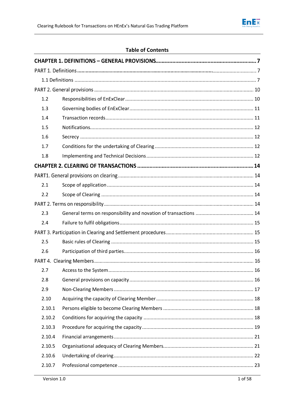

# **Table of Contents**

| 1.2    |  |
|--------|--|
| 1.3    |  |
| 1.4    |  |
| 1.5    |  |
| 1.6    |  |
| 1.7    |  |
| 1.8    |  |
|        |  |
|        |  |
| 2.1    |  |
| 2.2    |  |
|        |  |
| 2.3    |  |
| 2.4    |  |
|        |  |
| 2.5    |  |
| 2.6    |  |
|        |  |
| 2.7    |  |
| 2.8    |  |
| 2.9    |  |
| 2.10   |  |
| 2.10.1 |  |
| 2.10.2 |  |
| 2.10.3 |  |
| 2.10.4 |  |
| 2.10.5 |  |
| 2.10.6 |  |
| 2.10.7 |  |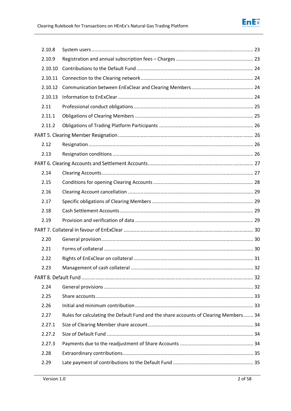

| 2.10.8  |                                                                                      |  |
|---------|--------------------------------------------------------------------------------------|--|
| 2.10.9  |                                                                                      |  |
| 2.10.10 |                                                                                      |  |
| 2.10.11 |                                                                                      |  |
| 2.10.12 |                                                                                      |  |
| 2.10.13 |                                                                                      |  |
| 2.11    |                                                                                      |  |
| 2.11.1  |                                                                                      |  |
| 2.11.2  |                                                                                      |  |
|         |                                                                                      |  |
| 2.12    |                                                                                      |  |
| 2.13    |                                                                                      |  |
|         |                                                                                      |  |
| 2.14    |                                                                                      |  |
| 2.15    |                                                                                      |  |
| 2.16    |                                                                                      |  |
| 2.17    |                                                                                      |  |
| 2.18    |                                                                                      |  |
| 2.19    |                                                                                      |  |
|         |                                                                                      |  |
|         |                                                                                      |  |
| 2.20    |                                                                                      |  |
| 2.21    |                                                                                      |  |
| 2.22    |                                                                                      |  |
| 2.23    |                                                                                      |  |
|         |                                                                                      |  |
| 2.24    |                                                                                      |  |
| 2.25    |                                                                                      |  |
| 2.26    |                                                                                      |  |
| 2.27    | Rules for calculating the Default Fund and the share accounts of Clearing Members 34 |  |
| 2.27.1  |                                                                                      |  |
| 2.27.2  |                                                                                      |  |
| 2.27.3  |                                                                                      |  |
| 2.28    |                                                                                      |  |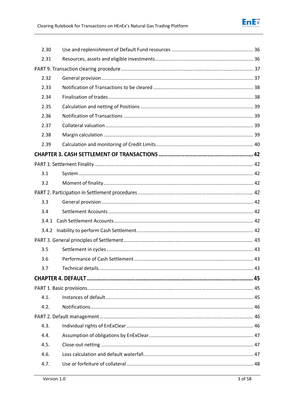| 2.30  |  |
|-------|--|
| 2.31  |  |
|       |  |
| 2.32  |  |
| 2.33  |  |
| 2.34  |  |
| 2.35  |  |
| 2.36  |  |
| 2.37  |  |
| 2.38  |  |
| 2.39  |  |
|       |  |
|       |  |
| 3.1   |  |
| 3.2   |  |
|       |  |
| 3.3   |  |
| 3.4   |  |
| 3.4.1 |  |
|       |  |
|       |  |
| 3.5   |  |
| 3.6   |  |
| 3.7   |  |
|       |  |
|       |  |
| 4.1.  |  |
| 4.2.  |  |
|       |  |
| 4.3.  |  |
| 4.4.  |  |
| 4.5.  |  |
| 4.6.  |  |
| 4.7.  |  |
|       |  |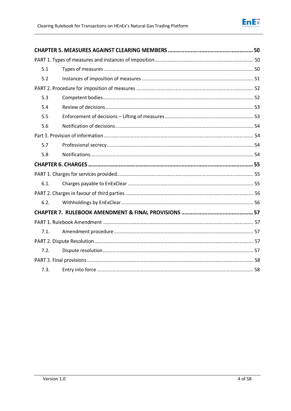

| 5.1  |  |
|------|--|
| 5.2  |  |
|      |  |
| 5.3  |  |
| 5.4  |  |
| 5.5  |  |
| 5.6  |  |
|      |  |
| 5.7  |  |
| 5.8  |  |
|      |  |
|      |  |
|      |  |
| 6.1. |  |
|      |  |
| 6.2. |  |
|      |  |
|      |  |
| 7.1. |  |
|      |  |
| 7.2. |  |
|      |  |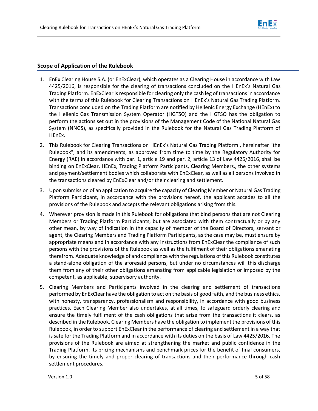

# **Scope of Application of the Rulebook**

- 1. EnEx Clearing House S.A. (or EnExClear), which operates as a Clearing House in accordance with Law 4425/2016, is responsible for the clearing of transactions concluded on the HEnEx's Natural Gas Trading Platform. EnExClear is responsible for clearing only the cash leg of transactions in accordance with the terms of this Rulebook for Clearing Transactions on HEnEx's Natural Gas Trading Platform. Transactions concluded on the Trading Platform are notified by Hellenic Energy Exchange (HEnEx) to the Hellenic Gas Transmission System Operator (HGTSO) and the HGTSO has the obligation to perform the actions set out in the provisions of the Management Code of the National Natural Gas System (NNGS), as specifically provided in the Rulebook for the Natural Gas Trading Platform of HEnEx.
- 2. This Rulebook for Clearing Transactions on HEnEx's Natural Gas Trading Platform , hereinafter "the Rulebook", and its amendments, as approved from time to time by the Regulatory Authority for Energy (RAE) in accordance with par. 1, article 19 and par. 2, article 13 of Law 4425/2016, shall be binding on EnExClear, HEnEx, Trading Platform Participants, Clearing Members,, the other systems and payment/settlement bodies which collaborate with EnExClear, as well as all persons involved in the transactions cleared by EnExClear and/or their clearing and settlement.
- 3. Upon submission of an application to acquire the capacity of Clearing Member or Natural Gas Trading Platform Participant, in accordance with the provisions hereof, the applicant accedes to all the provisions of the Rulebook and accepts the relevant obligations arising from this.
- 4. Wherever provision is made in this Rulebook for obligations that bind persons that are not Clearing Members or Trading Platform Participants, but are associated with them contractually or by any other mean, by way of indication in the capacity of member of the Board of Directors, servant or agent, the Clearing Members and Trading Platform Participants, as the case may be, must ensure by appropriate means and in accordance with any instructions from EnExClear the compliance of such persons with the provisions of the Rulebook as well as the fulfilment of their obligations emanating therefrom. Adequate knowledge of and compliance with the regulations of this Rulebook constitutes a stand-alone obligation of the aforesaid persons, but under no circumstances will this discharge them from any of their other obligations emanating from applicable legislation or imposed by the competent, as applicable, supervisory authority.
- 5. Clearing Members and Participants involved in the clearing and settlement of transactions performed by EnExClear have the obligation to act on the basis of good faith, and the business ethics, with honesty, transparency, professionalism and responsibility, in accordance with good business practices. Each Clearing Member also undertakes, at all times, to safeguard orderly clearing and ensure the timely fulfilment of the cash obligations that arise from the transactions it clears, as described in the Rulebook. Clearing Members have the obligation to implement the provisions of this Rulebook, in order to support EnExClear in the performance of clearing and settlement in a way that is safe for the Trading Platform and in accordance with its duties on the basis of Law 4425/2016. The provisions of the Rulebook are aimed at strengthening the market and public confidence in the Trading Platform, its pricing mechanisms and benchmark prices for the benefit of final consumers, by ensuring the timely and proper clearing of transactions and their performance through cash settlement procedures.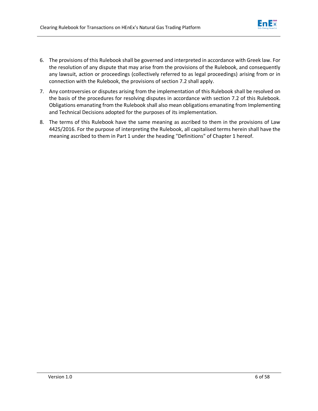

- 6. The provisions of this Rulebook shall be governed and interpreted in accordance with Greek law. For the resolution of any dispute that may arise from the provisions of the Rulebook, and consequently any lawsuit, action or proceedings (collectively referred to as legal proceedings) arising from or in connection with the Rulebook, the provisions of section 7.2 shall apply.
- 7. Any controversies or disputes arising from the implementation of this Rulebook shall be resolved on the basis of the procedures for resolving disputes in accordance with section 7.2 of this Rulebook. Obligations emanating from the Rulebook shall also mean obligations emanating from Implementing and Technical Decisions adopted for the purposes of its implementation.
- 8. The terms of this Rulebook have the same meaning as ascribed to them in the provisions of Law 4425/2016. For the purpose of interpreting the Rulebook, all capitalised terms herein shall have the meaning ascribed to them in Part 1 under the heading "Definitions" of Chapter 1 hereof.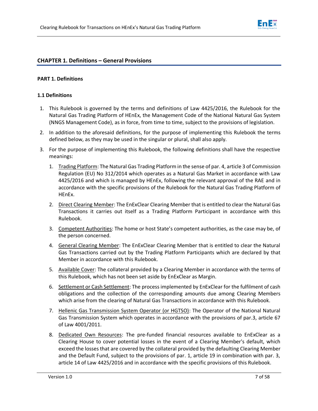

## **CHAPTER 1. Definitions – General Provisions**

#### **PART 1. Definitions**

#### **1.1 Definitions**

- <span id="page-8-0"></span>1. This Rulebook is governed by the terms and definitions of Law 4425/2016, the Rulebook for the Natural Gas Trading Platform of HEnEx, the Management Code of the National Natural Gas System (NNGS Management Code), as in force, from time to time, subject to the provisions of legislation.
- 2. In addition to the aforesaid definitions, for the purpose of implementing this Rulebook the terms defined below, as they may be used in the singular or plural, shall also apply.
- 3. For the purpose of implementing this Rulebook, the following definitions shall have the respective meanings:
	- 1. Trading Platform: The Natural Gas Trading Platform in the sense of par. 4, article 3 of Commission Regulation (EU) No 312/2014 which operates as a Natural Gas Market in accordance with Law 4425/2016 and which is managed by HEnEx, following the relevant approval of the RAE and in accordance with the specific provisions of the Rulebook for the Natural Gas Trading Platform of HEnEx.
	- 2. Direct Clearing Member: The EnExClear Clearing Member that is entitled to clear the Natural Gas Transactions it carries out itself as a Trading Platform Participant in accordance with this Rulebook.
	- 3. Competent Authorities: The home or host State's competent authorities, as the case may be, of the person concerned.
	- 4. General Clearing Member: The EnExClear Clearing Member that is entitled to clear the Natural Gas Transactions carried out by the Trading Platform Participants which are declared by that Member in accordance with this Rulebook.
	- 5. Available Cover: The collateral provided by a Clearing Member in accordance with the terms of this Rulebook, which has not been set aside by EnExClear as Margin.
	- 6. Settlement or Cash Settlement: The process implemented by EnExClear for the fulfilment of cash obligations and the collection of the corresponding amounts due among Clearing Members which arise from the clearing of Natural Gas Transactions in accordance with this Rulebook.
	- 7. Hellenic Gas Transmission System Operator (or HGTSO): The Operator of the National Natural Gas Transmission System which operates in accordance with the provisions of par.3, article 67 of Law 4001/2011.
	- 8. Dedicated Own Resources: The pre-funded financial resources available to EnExClear as a Clearing House to cover potential losses in the event of a Clearing Member's default, which exceed the losses that are covered by the collateral provided by the defaulting Clearing Member and the Default Fund, subject to the provisions of par. 1, article 19 in combination with par. 3, article 14 of Law 4425/2016 and in accordance with the specific provisions of this Rulebook.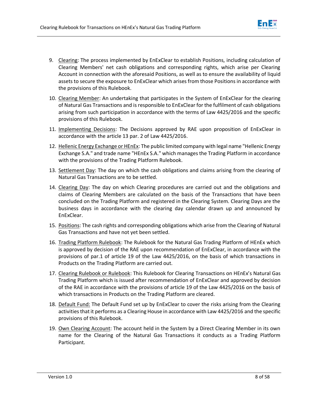

- 9. Clearing: The process implemented by EnExClear to establish Positions, including calculation of Clearing Members' net cash obligations and corresponding rights, which arise per Clearing Account in connection with the aforesaid Positions, as well as to ensure the availability of liquid assets to secure the exposure to EnExClear which arises from those Positions in accordance with the provisions of this Rulebook.
- 10. Clearing Member: An undertaking that participates in the System of EnExClear for the clearing of Natural Gas Transactions and is responsible to EnExClear for the fulfilment of cash obligations arising from such participation in accordance with the terms of Law 4425/2016 and the specific provisions of this Rulebook.
- 11. Implementing Decisions: The Decisions approved by RAE upon proposition of EnExClear in accordance with the article 13 par. 2 of Law 4425/2016.
- 12. Hellenic Energy Exchange or HEnEx: The public limited company with legal name "Hellenic Energy Exchange S.A." and trade name "HEnEx S.A." which manages the Trading Platform in accordance with the provisions of the Trading Platform Rulebook.
- 13. Settlement Day: The day on which the cash obligations and claims arising from the clearing of Natural Gas Transactions are to be settled.
- 14. Clearing Day: The day on which Clearing procedures are carried out and the obligations and claims of Clearing Members are calculated on the basis of the Transactions that have been concluded on the Trading Platform and registered in the Clearing System. Clearing Days are the business days in accordance with the clearing day calendar drawn up and announced by EnExClear.
- 15. Positions: The cash rights and corresponding obligations which arise from the Clearing of Natural Gas Transactions and have not yet been settled.
- 16. Trading Platform Rulebook: The Rulebook for the Natural Gas Trading Platform of HEnEx which is approved by decision of the RAE upon recommendation of EnExClear, in accordance with the provisions of par.1 of article 19 of the Law 4425/2016, on the basis of which transactions in Products on the Trading Platform are carried out.
- 17. Clearing Rulebook or Rulebook: This Rulebook for Clearing Transactions on HEnEx's Natural Gas Trading Platform which is issued after recommendation of EnExClear and approved by decision of the RAE in accordance with the provisions of article 19 of the Law 4425/2016 on the basis of which transactions in Products on the Trading Platform are cleared.
- 18. Default Fund: The Default Fund set up by EnExClear to cover the risks arising from the Clearing activities that it performs as a Clearing House in accordance with Law 4425/2016 and the specific provisions of this Rulebook.
- 19. Own Clearing Account: The account held in the System by a Direct Clearing Member in its own name for the Clearing of the Natural Gas Transactions it conducts as a Trading Platform Participant.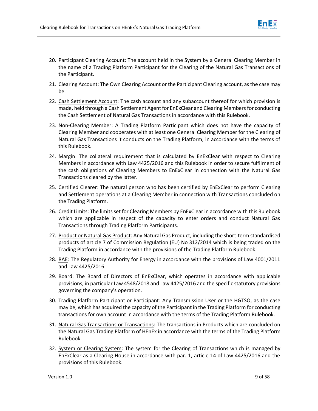

- 20. Participant Clearing Account: The account held in the System by a General Clearing Member in the name of a Trading Platform Participant for the Clearing of the Natural Gas Transactions of the Participant.
- 21. Clearing Account: The Own Clearing Account or the Participant Clearing account, as the case may be.
- 22. Cash Settlement Account: The cash account and any subaccount thereof for which provision is made, held through a Cash Settlement Agent for EnExClear and Clearing Members for conducting the Cash Settlement of Natural Gas Transactions in accordance with this Rulebook.
- 23. Non-Clearing Member: A Trading Platform Participant which does not have the capacity of Clearing Member and cooperates with at least one General Clearing Member for the Clearing of Natural Gas Transactions it conducts on the Trading Platform, in accordance with the terms of this Rulebook.
- 24. Margin: The collateral requirement that is calculated by EnExClear with respect to Clearing Members in accordance with Law 4425/2016 and this Rulebook in order to secure fulfilment of the cash obligations of Clearing Members to EnExClear in connection with the Natural Gas Transactions cleared by the latter.
- 25. Certified Clearer: The natural person who has been certified by EnExClear to perform Clearing and Settlement operations at a Clearing Member in connection with Transactions concluded on the Trading Platform.
- 26. Credit Limits: The limits set for Clearing Members by EnExClear in accordance with this Rulebook which are applicable in respect of the capacity to enter orders and conduct Natural Gas Transactions through Trading Platform Participants.
- 27. Product or Natural Gas Product: Any Natural Gas Product, including the short-term standardised products of article 7 of Commission Regulation (EU) No 312/2014 which is being traded on the Trading Platform in accordance with the provisions of the Trading Platform Rulebook.
- 28. RAE: The Regulatory Authority for Energy in accordance with the provisions of Law 4001/2011 and Law 4425/2016.
- 29. Board: The Board of Directors of EnExClear, which operates in accordance with applicable provisions, in particular Law 4548/2018 and Law 4425/2016 and the specific statutory provisions governing the company's operation.
- 30. Trading Platform Participant or Participant: Any Transmission User or the HGTSO, as the case may be, which has acquired the capacity of the Participant in the Trading Platform for conducting transactions for own account in accordance with the terms of the Trading Platform Rulebook.
- 31. Natural Gas Transactions or Transactions: The transactions in Products which are concluded on the Natural Gas Trading Platform of HEnEx in accordance with the terms of the Trading Platform Rulebook.
- 32. System or Clearing System: The system for the Clearing of Transactions which is managed by EnExClear as a Clearing House in accordance with par. 1, article 14 of Law 4425/2016 and the provisions of this Rulebook.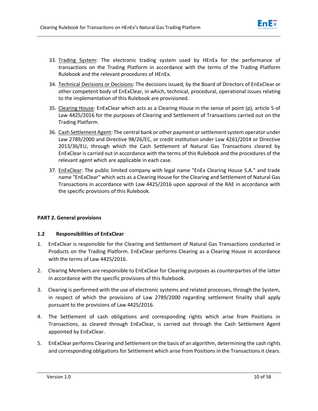

- 33. Trading System: The electronic trading system used by HEnEx for the performance of transactions on the Trading Platform in accordance with the terms of the Trading Platform Rulebook and the relevant procedures of HEnEx.
- 34. Technical Decisions or Decisions: The decisions issued, by the Board of Directors of EnExClear or other competent body of EnExClear, in which, technical, procedural, operational issues relating to the implementation of this Rulebook are provisioned.
- 35. Clearing House: EnExClear which acts as a Clearing House in the sense of point (p), article 5 of Law 4425/2016 for the purposes of Clearing and Settlement of Transactions carried out on the Trading Platform.
- 36. Cash Settlement Agent: The central bank or other payment or settlement system operator under Law 2789/2000 and Directive 98/26/EC, or credit institution under Law 4261/2014 or Directive 2013/36/EU, through which the Cash Settlement of Natural Gas Transactions cleared by EnExClear is carried out in accordance with the terms of this Rulebook and the procedures of the relevant agent which are applicable in each case.
- 37. EnExClear: The public limited company with legal name "EnEx Clearing House S.A." and trade name "EnExClear" which acts as a Clearing House for the Clearing and Settlement of Natural Gas Transactions in accordance with Law 4425/2016 upon approval of the RAE in accordance with the specific provisions of this Rulebook.

# **PART 2. General provisions**

# **1.2 Responsibilities of EnExClear**

- <span id="page-11-0"></span>1. EnExClear is responsible for the Clearing and Settlement of Natural Gas Transactions conducted in Products on the Trading Platform. EnExClear performs Clearing as a Clearing House in accordance with the terms of Law 4425/2016.
- 2. Clearing Members are responsible to EnExClear for Clearing purposes as counterparties of the latter in accordance with the specific provisions of this Rulebook.
- 3. Clearing is performed with the use of electronic systems and related processes, through the System, in respect of which the provisions of Law 2789/2000 regarding settlement finality shall apply pursuant to the provisions of Law 4425/2016.
- 4. The Settlement of cash obligations and corresponding rights which arise from Positions in Transactions, as cleared through EnExClear, is carried out through the Cash Settlement Agent appointed by EnExClear.
- 5. EnExClear performs Clearing and Settlement on the basis of an algorithm, determining the cash rights and corresponding obligations for Settlement which arise from Positions in the Transactions it clears.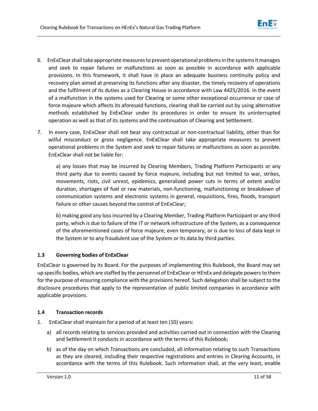

- 6. EnExClearshall take appropriate measures to prevent operational problems in the systems it manages and seek to repair failures or malfunctions as soon as possible in accordance with applicable provisions. In this framework, it shall have in place an adequate business continuity policy and recovery plan aimed at preserving its functions after any disaster, the timely recovery of operations and the fulfilment of its duties as a Clearing House in accordance with Law 4425/2016. In the event of a malfunction in the systems used for Clearing or some other exceptional occurrence or case of force majeure which affects its aforesaid functions, clearing shall be carried out by using alternative methods established by EnExClear under its procedures in order to ensure its uninterrupted operation as well as that of its systems and the continuation of Clearing and Settlement.
- 7. In every case, EnExClear shall not bear any contractual or non-contractual liability, other than for wilful misconduct or gross negligence. EnExClear shall take appropriate measures to prevent operational problems in the System and seek to repair failures or malfunctions as soon as possible. EnExClear shall not be liable for:

a) any losses that may be incurred by Clearing Members, Trading Platform Participants or any third party due to events caused by force majeure, including but not limited to war, strikes, movements, riots, civil unrest, epidemics, generalized power cuts in terms of extent and/or duration, shortages of fuel or raw materials, non-functioning, malfunctioning or breakdown of communication systems and electronic systems in general, requisitions, fires, floods, transport failure or other causes beyond the control of EnExClear;

b) making good any loss incurred by a Clearing Member, Trading Platform Participant or any third party, which is due to failure of the IT or network infrastructure of the System, as a consequence of the aforementioned cases of force majeure, even temporary, or is due to loss of data kept in the System or to any fraudulent use of the System or its data by third parties.

# **1.3 Governing bodies of EnExClear**

<span id="page-12-0"></span>EnExClear is governed by its Board. For the purposes of implementing this Rulebook, the Board may set up specific bodies, which are staffed by the personnel of EnExClear or HEnEx and delegate powers to them for the purpose of ensuring compliance with the provisions hereof. Such delegation shall be subject to the disclosure procedures that apply to the representation of public limited companies in accordance with applicable provisions.

# **1.4 Transaction records**

- <span id="page-12-1"></span>1. EnExClear shall maintain for a period of at least ten (10) years:
	- a) all records relating to services provided and activities carried out in connection with the Clearing and Settlement it conducts in accordance with the terms of this Rulebook;
	- b) as of the day on which Transactions are concluded, all information relating to such Transactions as they are cleared, including their respective registrations and entries in Clearing Accounts, in accordance with the terms of this Rulebook. Such information shall, at the very least, enable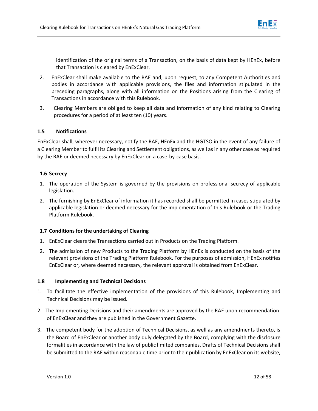

identification of the original terms of a Transaction, on the basis of data kept by HEnEx, before that Transaction is cleared by EnExClear.

- 2. EnExClear shall make available to the RAE and, upon request, to any Competent Authorities and bodies in accordance with applicable provisions, the files and information stipulated in the preceding paragraphs, along with all information on the Positions arising from the Clearing of Transactions in accordance with this Rulebook.
- 3. Clearing Members are obliged to keep all data and information of any kind relating to Clearing procedures for a period of at least ten (10) years.

# **1.5 Notifications**

<span id="page-13-0"></span>EnExClear shall, wherever necessary, notify the RAE, HEnEx and the HGTSO in the event of any failure of a Clearing Member to fulfil its Clearing and Settlement obligations, as well as in any other case as required by the RAE or deemed necessary by EnExClear on a case-by-case basis.

# **1.6 Secrecy**

- 1. The operation of the System is governed by the provisions on professional secrecy of applicable legislation.
- <span id="page-13-1"></span>2. The furnishing by EnExClear of information it has recorded shall be permitted in cases stipulated by applicable legislation or deemed necessary for the implementation of this Rulebook or the Trading Platform Rulebook.

# **1.7 Conditions for the undertaking of Clearing**

- 1. EnExClear clears the Transactions carried out in Products on the Trading Platform.
- <span id="page-13-2"></span>2. The admission of new Products to the Trading Platform by HEnEx is conducted on the basis of the relevant provisions of the Trading Platform Rulebook. For the purposes of admission, HEnEx notifies EnExClear or, where deemed necessary, the relevant approval is obtained from EnExClear.

# **1.8 Implementing and Technical Decisions**

- <span id="page-13-3"></span>1. To facilitate the effective implementation of the provisions of this Rulebook, Implementing and Technical Decisions may be issued.
- 2. The Implementing Decisions and their amendments are approved by the RAE upon recommendation of EnExClear and they are published in the Government Gazette.
- 3. The competent body for the adoption of Technical Decisions, as well as any amendments thereto, is the Board of EnExClear or another body duly delegated by the Board, complying with the disclosure formalities in accordance with the law of public limited companies. Drafts of Technical Decisions shall be submitted to the RAE within reasonable time prior to their publication by EnExClear on its website,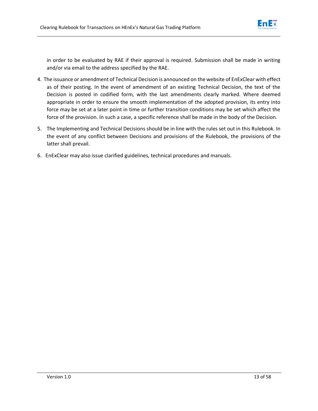

in order to be evaluated by RAE if their approval is required. Submission shall be made in writing and/or via email to the address specified by the RAE.

- 4. The issuance or amendment of Technical Decision is announced on the website of EnExClear with effect as of their posting. In the event of amendment of an existing Technical Decision, the text of the Decision is posted in codified form, with the last amendments clearly marked. Where deemed appropriate in order to ensure the smooth implementation of the adopted provision, its entry into force may be set at a later point in time or further transition conditions may be set which affect the force of the provision. In such a case, a specific reference shall be made in the body of the Decision.
- 5. The Implementing and Technical Decisions should be in line with the rules set out in this Rulebook. In the event of any conflict between Decisions and provisions of the Rulebook, the provisions of the latter shall prevail.
- 6. EnExClear may also issue clarified guidelines, technical procedures and manuals.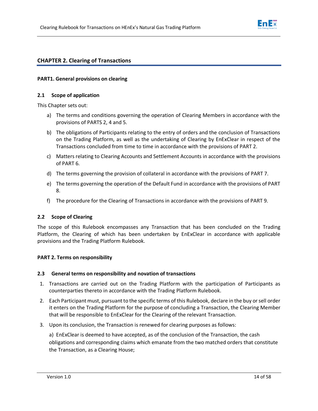

# **CHAPTER 2. Clearing of Transactions**

## **PART1. General provisions on clearing**

## **2.1 Scope of application**

This Chapter sets out:

- <span id="page-15-0"></span>a) The terms and conditions governing the operation of Clearing Members in accordance with the provisions of PARTS 2, 4 and 5.
- b) The obligations of Participants relating to the entry of orders and the conclusion of Transactions on the Trading Platform, as well as the undertaking of Clearing by EnExClear in respect of the Transactions concluded from time to time in accordance with the provisions of PART 2.
- c) Matters relating to Clearing Accounts and Settlement Accounts in accordance with the provisions of PART 6.
- d) The terms governing the provision of collateral in accordance with the provisions of PART 7.
- e) The terms governing the operation of the Default Fund in accordance with the provisions of PART 8.
- f) The procedure for the Clearing of Transactions in accordance with the provisions of PART 9.

## **2.2 Scope of Clearing**

<span id="page-15-1"></span>The scope of this Rulebook encompasses any Transaction that has been concluded on the Trading Platform, the Clearing of which has been undertaken by EnExClear in accordance with applicable provisions and the Trading Platform Rulebook.

## **PART 2. Terms on responsibility**

## **2.3 General terms on responsibility and novation of transactions**

- 1. Transactions are carried out on the Trading Platform with the participation of Participants as counterparties thereto in accordance with the Trading Platform Rulebook.
- <span id="page-15-2"></span>2. Each Participant must, pursuant to the specific terms of this Rulebook, declare in the buy or sell order it enters on the Trading Platform for the purpose of concluding a Transaction, the Clearing Member that will be responsible to EnExClear for the Clearing of the relevant Transaction.
- 3. Upon its conclusion, the Transaction is renewed for clearing purposes as follows:

a) EnExClear is deemed to have accepted, as of the conclusion of the Transaction, the cash obligations and corresponding claims which emanate from the two matched orders that constitute the Transaction, as a Clearing House;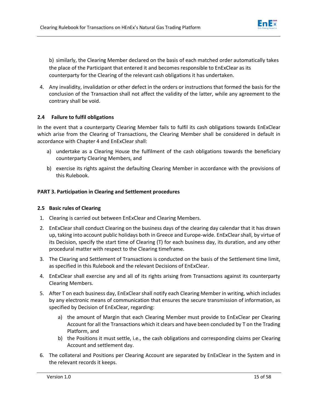

b) similarly, the Clearing Member declared on the basis of each matched order automatically takes the place of the Participant that entered it and becomes responsible to EnExClear as its counterparty for the Clearing of the relevant cash obligations it has undertaken.

4. Any invalidity, invalidation or other defect in the orders or instructions that formed the basis for the conclusion of the Transaction shall not affect the validity of the latter, while any agreement to the contrary shall be void.

# **2.4 Failure to fulfil obligations**

<span id="page-16-0"></span>In the event that a counterparty Clearing Member fails to fulfil its cash obligations towards EnExClear which arise from the Clearing of Transactions, the Clearing Member shall be considered in default in accordance with Chapter 4 and EnExClear shall:

- a) undertake as a Clearing House the fulfilment of the cash obligations towards the beneficiary counterparty Clearing Members, and
- b) exercise its rights against the defaulting Clearing Member in accordance with the provisions of this Rulebook.

# **PART 3. Participation in Clearing and Settlement procedures**

# **2.5 Basic rules of Clearing**

- 1. Clearing is carried out between EnExClear and Clearing Members.
- <span id="page-16-1"></span>2. EnExClear shall conduct Clearing on the business days of the clearing day calendar that it has drawn up, taking into account public holidays both in Greece and Europe-wide. EnExClear shall, by virtue of its Decision, specify the start time of Clearing (T) for each business day, its duration, and any other procedural matter with respect to the Clearing timeframe.
- 3. The Clearing and Settlement of Transactions is conducted on the basis of the Settlement time limit, as specified in this Rulebook and the relevant Decisions of EnExClear.
- 4. EnExClear shall exercise any and all of its rights arising from Transactions against its counterparty Clearing Members.
- 5. After T on each business day, EnExClear shall notify each Clearing Member in writing, which includes by any electronic means of communication that ensures the secure transmission of information, as specified by Decision of EnExClear, regarding:
	- a) the amount of Margin that each Clearing Member must provide to EnExClear per Clearing Account for all the Transactions which it clears and have been concluded by T on the Trading Platform, and
	- b) the Positions it must settle, i.e., the cash obligations and corresponding claims per Clearing Account and settlement day.
- 6. The collateral and Positions per Clearing Account are separated by EnExClear in the System and in the relevant records it keeps.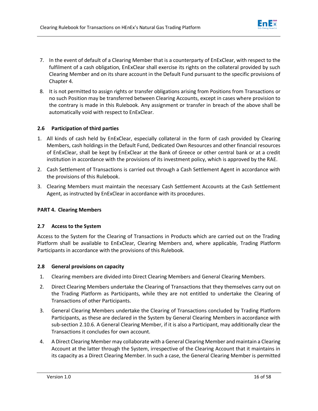- 7. In the event of default of a Clearing Member that is a counterparty of EnExClear, with respect to the fulfilment of a cash obligation, EnExClear shall exercise its rights on the collateral provided by such Clearing Member and on its share account in the Default Fund pursuant to the specific provisions of Chapter 4.
- 8. It is not permitted to assign rights or transfer obligations arising from Positions from Transactions or no such Position may be transferred between Clearing Accounts, except in cases where provision to the contrary is made in this Rulebook. Any assignment or transfer in breach of the above shall be automatically void with respect to EnExClear.

# **2.6 Participation of third parties**

- <span id="page-17-0"></span>1. All kinds of cash held by EnExClear, especially collateral in the form of cash provided by Clearing Members, cash holdings in the Default Fund, Dedicated Own Resources and other financial resources of EnExClear, shall be kept by EnExClear at the Bank of Greece or other central bank or at a credit institution in accordance with the provisions of its investment policy, which is approved by the RAE.
- 2. Cash Settlement of Transactions is carried out through a Cash Settlement Agent in accordance with the provisions of this Rulebook.
- 3. Clearing Members must maintain the necessary Cash Settlement Accounts at the Cash Settlement Agent, as instructed by EnExClear in accordance with its procedures.

# **PART 4. Clearing Members**

# **2.7 Access to the System**

<span id="page-17-1"></span>Access to the System for the Clearing of Transactions in Products which are carried out on the Trading Platform shall be available to EnExClear, Clearing Members and, where applicable, Trading Platform Participants in accordance with the provisions of this Rulebook.

# **2.8 General provisions on capacity**

- 1. Clearing members are divided into Direct Clearing Members and General Clearing Members.
- <span id="page-17-2"></span>2. Direct Clearing Members undertake the Clearing of Transactions that they themselves carry out on the Trading Platform as Participants, while they are not entitled to undertake the Clearing of Transactions of other Participants.
- 3. General Clearing Members undertake the Clearing of Transactions concluded by Trading Platform Participants, as these are declared in the System by General Clearing Members in accordance with sub-section 2.10.6. A General Clearing Member, if it is also a Participant, may additionally clear the Transactions it concludes for own account.
- 4. A Direct Clearing Member may collaborate with a General Clearing Member and maintain a Clearing Account at the latter through the System, irrespective of the Clearing Account that it maintains in its capacity as a Direct Clearing Member. In such a case, the General Clearing Member is permitted

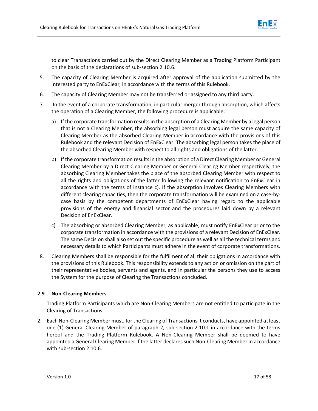

to clear Transactions carried out by the Direct Clearing Member as a Trading Platform Participant on the basis of the declarations of sub-section 2.10.6.

- 5. The capacity of Clearing Member is acquired after approval of the application submitted by the interested party to EnExClear, in accordance with the terms of this Rulebook.
- 6. The capacity of Clearing Member may not be transferred or assigned to any third party.
- 7. In the event of a corporate transformation, in particular merger through absorption, which affects the operation of a Clearing Member, the following procedure is applicable:
	- a) If the corporate transformation results in the absorption of a Clearing Member by a legal person that is not a Clearing Member, the absorbing legal person must acquire the same capacity of Clearing Member as the absorbed Clearing Member in accordance with the provisions of this Rulebook and the relevant Decision of EnExClear. The absorbing legal person takes the place of the absorbed Clearing Member with respect to all rights and obligations of the latter.
	- b) If the corporate transformation results in the absorption of a Direct Clearing Member or General Clearing Member by a Direct Clearing Member or General Clearing Member respectively, the absorbing Clearing Member takes the place of the absorbed Clearing Member with respect to all the rights and obligations of the latter following the relevant notification to EnExClear in accordance with the terms of instance c). If the absorption involves Clearing Members with different clearing capacities, then the corporate transformation will be examined on a case-bycase basis by the competent departments of EnExClear having regard to the applicable provisions of the energy and financial sector and the procedures laid down by a relevant Decision of EnExClear.
	- c) The absorbing or absorbed Clearing Member, as applicable, must notify EnExClear prior to the corporate transformation in accordance with the provisions of a relevant Decision of EnExClear. The same Decision shall also set out the specific procedure as well as all the technical terms and necessary details to which Participants must adhere in the event of corporate transformations.
- 8. Clearing Members shall be responsible for the fulfilment of all their obligations in accordance with the provisions of this Rulebook. This responsibility extends to any action or omission on the part of their representative bodies, servants and agents, and in particular the persons they use to access the System for the purpose of Clearing the Transactions concluded.

# **2.9 Non-Clearing Members**

- 1. Trading Platform Participants which are Non-Clearing Members are not entitled to participate in the Clearing of Transactions.
- <span id="page-18-0"></span>2. Each Non-Clearing Member must, for the Clearing of Transactions it conducts, have appointed at least one (1) General Clearing Member of paragraph 2, sub-section 2.10.1 in accordance with the terms hereof and the Trading Platform Rulebook. A Non-Clearing Member shall be deemed to have appointed a General Clearing Member if the latter declares such Non-Clearing Member in accordance with sub-section 2.10.6.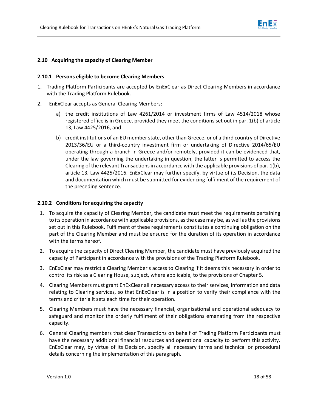

## **2.10 Acquiring the capacity of Clearing Member**

## **2.10.1 Persons eligible to become Clearing Members**

- <span id="page-19-0"></span>1. Trading Platform Participants are accepted by EnExClear as Direct Clearing Members in accordance with the Trading Platform Rulebook.
- <span id="page-19-1"></span>2. EnExClear accepts as General Clearing Members:
	- a) the credit institutions of Law 4261/2014 or investment firms of Law 4514/2018 whose registered office is in Greece, provided they meet the conditions set out in par. 1(b) of article 13, Law 4425/2016, and
	- b) credit institutions of an EU member state, other than Greece, or of a third country of Directive 2013/36/EU or a third-country investment firm or undertaking of Directive 2014/65/EU operating through a branch in Greece and/or remotely, provided it can be evidenced that, under the law governing the undertaking in question, the latter is permitted to access the Clearing of the relevant Transactions in accordance with the applicable provisions of par. 1(b), article 13, Law 4425/2016. EnExClear may further specify, by virtue of its Decision, the data and documentation which must be submitted for evidencing fulfilment of the requirement of the preceding sentence.

## **2.10.2 Conditions for acquiring the capacity**

- <span id="page-19-2"></span>1. To acquire the capacity of Clearing Member, the candidate must meet the requirements pertaining to its operation in accordance with applicable provisions, as the case may be, as well as the provisions set out in this Rulebook. Fulfilment of these requirements constitutes a continuing obligation on the part of the Clearing Member and must be ensured for the duration of its operation in accordance with the terms hereof.
- 2. To acquire the capacity of Direct Clearing Member, the candidate must have previously acquired the capacity of Participant in accordance with the provisions of the Trading Platform Rulebook.
- 3. EnExClear may restrict a Clearing Member's access to Clearing if it deems this necessary in order to control its risk as a Clearing House, subject, where applicable, to the provisions of Chapter 5.
- 4. Clearing Members must grant EnExClear all necessary access to their services, information and data relating to Clearing services, so that EnExClear is in a position to verify their compliance with the terms and criteria it sets each time for their operation.
- 5. Clearing Members must have the necessary financial, organisational and operational adequacy to safeguard and monitor the orderly fulfilment of their obligations emanating from the respective capacity.
- 6. General Clearing members that clear Transactions on behalf of Trading Platform Participants must have the necessary additional financial resources and operational capacity to perform this activity. EnExClear may, by virtue of its Decision, specify all necessary terms and technical or procedural details concerning the implementation of this paragraph.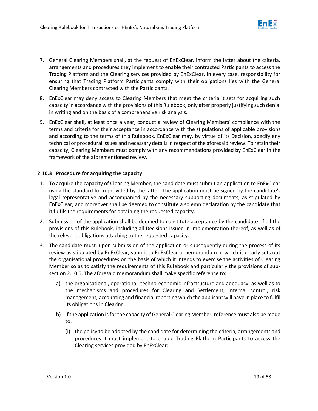

- 7. General Clearing Members shall, at the request of EnExClear, inform the latter about the criteria, arrangements and procedures they implement to enable their contracted Participants to access the Trading Platform and the Clearing services provided by EnExClear. In every case, responsibility for ensuring that Trading Platform Participants comply with their obligations lies with the General Clearing Members contracted with the Participants.
- 8. EnExClear may deny access to Clearing Members that meet the criteria it sets for acquiring such capacity in accordance with the provisions of this Rulebook, only after properly justifying such denial in writing and on the basis of a comprehensive risk analysis.
- 9. EnExClear shall, at least once a year, conduct a review of Clearing Members' compliance with the terms and criteria for their acceptance in accordance with the stipulations of applicable provisions and according to the terms of this Rulebook. EnExClear may, by virtue of its Decision, specify any technical or procedural issues and necessary details in respect of the aforesaid review. To retain their capacity, Clearing Members must comply with any recommendations provided by EnExClear in the framework of the aforementioned review.

# **2.10.3 Procedure for acquiring the capacity**

- <span id="page-20-0"></span>1. To acquire the capacity of Clearing Member, the candidate must submit an application to EnExClear using the standard form provided by the latter. The application must be signed by the candidate's legal representative and accompanied by the necessary supporting documents, as stipulated by EnExClear, and moreover shall be deemed to constitute a solemn declaration by the candidate that it fulfils the requirements for obtaining the requested capacity.
- 2. Submission of the application shall be deemed to constitute acceptance by the candidate of all the provisions of this Rulebook, including all Decisions issued in implementation thereof, as well as of the relevant obligations attaching to the requested capacity.
- 3. The candidate must, upon submission of the application or subsequently during the process of its review as stipulated by EnExClear, submit to EnExClear a memorandum in which it clearly sets out the organisational procedures on the basis of which it intends to exercise the activities of Clearing Member so as to satisfy the requirements of this Rulebook and particularly the provisions of subsection 2.10.5. The aforesaid memorandum shall make specific reference to:
	- a) the organisational, operational, techno-economic infrastructure and adequacy, as well as to the mechanisms and procedures for Clearing and Settlement, internal control, risk management, accounting and financial reporting which the applicant will have in place to fulfil its obligations in Clearing.
	- b) if the application is for the capacity of General Clearing Member, reference must also be made to:
		- (i) the policy to be adopted by the candidate for determining the criteria, arrangements and procedures it must implement to enable Trading Platform Participants to access the Clearing services provided by EnExClear;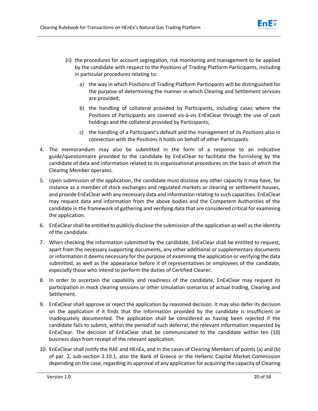

- (ii) the procedures for account segregation, risk monitoring and management to be applied by the candidate with respect to the Positions of Trading Platform Participants, including in particular procedures relating to:
	- a) the way in which Positions of Trading Platform Participants will be distinguished for the purpose of determining the manner in which Clearing and Settlement services are provided;
	- b) the handling of collateral provided by Participants, including cases where the Positions of Participants are covered vis-à-vis EnExClear through the use of cash holdings and the collateral provided by Participants;
	- c) the handling of a Participant's default and the management of its Positions also in connection with the Positions it holds on behalf of other Participants.
- 4. The memorandum may also be submitted in the form of a response to an indicative guide/questionnaire provided to the candidate by EnExClear to facilitate the furnishing by the candidate of data and information related to its organisational procedures on the basis of which the Clearing Member operates.
- 5. Upon submission of the application, the candidate must disclose any other capacity it may have, for instance as a member of stock exchanges and regulated markets or clearing or settlement houses, and provide EnExClear with any necessary data and information relating to such capacities. EnExClear may request data and information from the above bodies and the Competent Authorities of the candidate in the framework of gathering and verifying data that are considered critical for examining the application.
- 6. EnExClear shall be entitled to publicly disclose the submission of the application as well asthe identity of the candidate.
- 7. When checking the information submitted by the candidate, EnExClear shall be entitled to request, apart from the necessary supporting documents, any other additional or supplementary documents or information it deems necessary for the purpose of examining the application or verifying the data submitted, as well as the appearance before it of representatives or employees of the candidate, especially those who intend to perform the duties of Certified Clearer.
- 8. In order to ascertain the capability and readiness of the candidate, EnExClear may request its participation in mock clearing sessions or other simulation scenarios of actual trading, Clearing and Settlement.
- 9. EnExClear shall approve or reject the application by reasoned decision. It may also defer its decision on the application if it finds that the information provided by the candidate is insufficient or inadequately documented. The application shall be considered as having been rejected if the candidate fails to submit, within the period of such deferral, the relevant information requested by EnExClear. The decision of EnExClear shall be communicated to the candidate within ten (10) business days from receipt of the relevant application.
- 10. EnExClear shall notify the RAE and HEnEx, and in the cases of Clearing Members of points (a) and (b) of par. 2, sub-section 2.10.1, also the Bank of Greece or the Hellenic Capital Market Commission depending on the case, regarding its approval of any application for acquiring the capacity of Clearing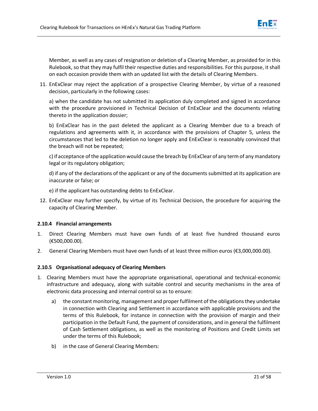

Member, as well as any cases of resignation or deletion of a Clearing Member, as provided for in this Rulebook, so that they may fulfil their respective duties and responsibilities. For this purpose, it shall on each occasion provide them with an updated list with the details of Clearing Members.

11. EnExClear may reject the application of a prospective Clearing Member, by virtue of a reasoned decision, particularly in the following cases:

a) when the candidate has not submitted its application duly completed and signed in accordance with the procedure provisioned in Technical Decision of EnExClear and the documents relating thereto in the application dossier;

b) EnExClear has in the past deleted the applicant as a Clearing Member due to a breach of regulations and agreements with it, in accordance with the provisions of Chapter 5, unless the circumstances that led to the deletion no longer apply and EnExClear is reasonably convinced that the breach will not be repeated;

c) if acceptance of the application would cause the breach by EnExClear of any term of any mandatory legal or its regulatory obligation;

d) if any of the declarations of the applicant or any of the documents submitted at its application are inaccurate or false; or

e) if the applicant has outstanding debts to EnExClear.

12. EnExClear may further specify, by virtue of its Technical Decision, the procedure for acquiring the capacity of Clearing Member.

# **2.10.4 Financial arrangements**

- 1. Direct Clearing Members must have own funds of at least five hundred thousand euros (€500,000.00).
- <span id="page-22-0"></span>2. General Clearing Members must have own funds of at least three million euros (€3,000,000.00).

# **2.10.5 Organisational adequacy of Clearing Members**

- <span id="page-22-1"></span>1. Clearing Members must have the appropriate organisational, operational and technical-economic infrastructure and adequacy, along with suitable control and security mechanisms in the area of electronic data processing and internal control so as to ensure:
	- a) the constant monitoring, management and proper fulfilment of the obligations they undertake in connection with Clearing and Settlement in accordance with applicable provisions and the terms of this Rulebook, for instance in connection with the provision of margin and their participation in the Default Fund, the payment of considerations, and in general the fulfilment of Cash Settlement obligations, as well as the monitoring of Positions and Credit Limits set under the terms of this Rulebook;
	- b) in the case of General Clearing Members: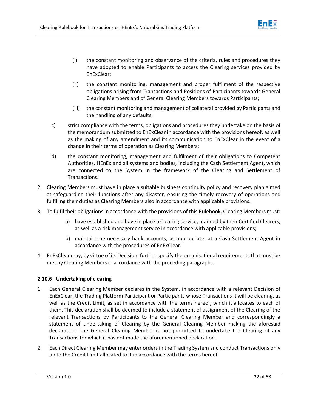

- (i) the constant monitoring and observance of the criteria, rules and procedures they have adopted to enable Participants to access the Clearing services provided by EnExClear;
- (ii) the constant monitoring, management and proper fulfilment of the respective obligations arising from Transactions and Positions of Participants towards General Clearing Members and of General Clearing Members towards Participants;
- (iii) the constant monitoring and management of collateral provided by Participants and the handling of any defaults;
- c) strict compliance with the terms, obligations and procedures they undertake on the basis of the memorandum submitted to EnExClear in accordance with the provisions hereof, as well as the making of any amendment and its communication to EnExClear in the event of a change in their terms of operation as Clearing Members;
- d) the constant monitoring, management and fulfilment of their obligations to Competent Authorities, HEnEx and all systems and bodies, including the Cash Settlement Agent, which are connected to the System in the framework of the Clearing and Settlement of Transactions.
- 2. Clearing Members must have in place a suitable business continuity policy and recovery plan aimed at safeguarding their functions after any disaster, ensuring the timely recovery of operations and fulfilling their duties as Clearing Members also in accordance with applicable provisions.
- 3. To fulfil their obligations in accordance with the provisions of this Rulebook, Clearing Members must:
	- a) have established and have in place a Clearing service, manned by their Certified Clearers, as well as a risk management service in accordance with applicable provisions;
	- b) maintain the necessary bank accounts, as appropriate, at a Cash Settlement Agent in accordance with the procedures of EnExClear.
- 4. EnExClear may, by virtue of its Decision, further specify the organisational requirements that must be met by Clearing Members in accordance with the preceding paragraphs.

# **2.10.6 Undertaking of clearing**

- <span id="page-23-0"></span>1. Each General Clearing Member declares in the System, in accordance with a relevant Decision of EnExClear, the Trading Platform Participant or Participants whose Transactions it will be clearing, as well as the Credit Limit, as set in accordance with the terms hereof, which it allocates to each of them. This declaration shall be deemed to include a statement of assignment of the Clearing of the relevant Transactions by Participants to the General Clearing Member and correspondingly a statement of undertaking of Clearing by the General Clearing Member making the aforesaid declaration. The General Clearing Member is not permitted to undertake the Clearing of any Transactions for which it has not made the aforementioned declaration.
- 2. Each Direct Clearing Member may enter orders in the Trading System and conduct Transactions only up to the Credit Limit allocated to it in accordance with the terms hereof.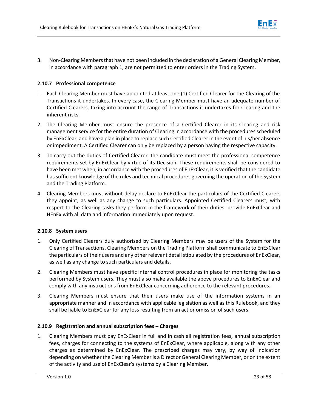

3. Non-Clearing Members that have not been included in the declaration of a General Clearing Member, in accordance with paragraph 1, are not permitted to enter orders in the Trading System.

# **2.10.7 Professional competence**

- <span id="page-24-0"></span>1. Each Clearing Member must have appointed at least one (1) Certified Clearer for the Clearing of the Transactions it undertakes. In every case, the Clearing Member must have an adequate number of Certified Clearers, taking into account the range of Transactions it undertakes for Clearing and the inherent risks.
- 2. The Clearing Member must ensure the presence of a Certified Clearer in its Clearing and risk management service for the entire duration of Clearing in accordance with the procedures scheduled by EnExClear, and have a plan in place to replace such Certified Clearer in the event of his/her absence or impediment. A Certified Clearer can only be replaced by a person having the respective capacity.
- 3. To carry out the duties of Certified Clearer, the candidate must meet the professional competence requirements set by EnExClear by virtue of its Decision. These requirements shall be considered to have been met when, in accordance with the procedures of EnExClear, it is verified that the candidate has sufficient knowledge of the rules and technical procedures governing the operation of the System and the Trading Platform.
- 4. Clearing Members must without delay declare to EnExClear the particulars of the Certified Clearers they appoint, as well as any change to such particulars. Appointed Certified Clearers must, with respect to the Clearing tasks they perform in the framework of their duties, provide EnExClear and HEnEx with all data and information immediately upon request.

# **2.10.8 System users**

- <span id="page-24-1"></span>1. Only Certified Clearers duly authorised by Clearing Members may be users of the System for the Clearing of Transactions. Clearing Members on the Trading Platform shall communicate to EnExClear the particulars of their users and any other relevant detail stipulated by the procedures of EnExClear, as well as any change to such particulars and details.
- 2. Clearing Members must have specific internal control procedures in place for monitoring the tasks performed by System users. They must also make available the above procedures to EnExClear and comply with any instructions from EnExClear concerning adherence to the relevant procedures.
- 3. Clearing Members must ensure that their users make use of the information systems in an appropriate manner and in accordance with applicable legislation as well as this Rulebook, and they shall be liable to EnExClear for any loss resulting from an act or omission of such users.

# **2.10.9 Registration and annual subscription fees – Charges**

<span id="page-24-2"></span>1. Clearing Members must pay EnExClear in full and in cash all registration fees, annual subscription fees, charges for connecting to the systems of EnExClear, where applicable, along with any other charges as determined by EnExClear. The prescribed charges may vary, by way of indication depending on whether the Clearing Member is a Direct or General Clearing Member, or on the extent of the activity and use of EnExClear's systems by a Clearing Member.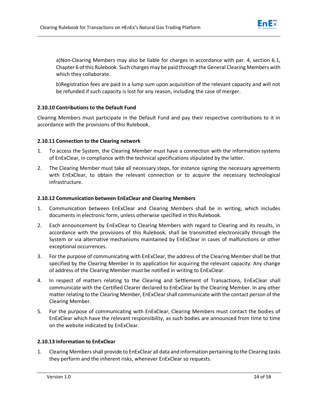

a)Non-Clearing Members may also be liable for charges in accordance with par. 4, section 6.1, Chapter 6 of this Rulebook. Such charges may be paid through the General Clearing Members with which they collaborate.

b)Registration fees are paid in a lump sum upon acquisition of the relevant capacity and will not be refunded if such capacity is lost for any reason, including the case of merger.

# **2.10.10 Contributions to the Default Fund**

<span id="page-25-0"></span>Clearing Members must participate in the Default Fund and pay their respective contributions to it in accordance with the provisions of this Rulebook.

# **2.10.11 Connection to the Clearing network**

- 1. To access the System, the Clearing Member must have a connection with the information systems of EnExClear, in compliance with the technical specifications stipulated by the latter.
- <span id="page-25-1"></span>2. The Clearing Member must take all necessary steps, for instance signing the necessary agreements with EnExClear, to obtain the relevant connection or to acquire the necessary technological infrastructure.

# **2.10.12 Communication between EnExClear and Clearing Members**

- 1. Communication between EnExClear and Clearing Members shall be in writing, which includes documents in electronic form, unless otherwise specified in this Rulebook.
- <span id="page-25-2"></span>2. Each announcement by EnExClear to Clearing Members with regard to Clearing and its results, in accordance with the provisions of this Rulebook, shall be transmitted electronically through the System or via alternative mechanisms maintained by EnExClear in cases of malfunctions or other exceptional occurrences.
- 3. For the purpose of communicating with EnExClear, the address of the Clearing Member shall be that specified by the Clearing Member in its application for acquiring the relevant capacity. Any change of address of the Clearing Member must be notified in writing to EnExClear.
- 4. In respect of matters relating to the Clearing and Settlement of Transactions, EnExClear shall communicate with the Certified Clearer declared to EnExClear by the Clearing Member. In any other matter relating to the Clearing Member, EnExClear shall communicate with the contact person of the Clearing Member.
- 5. For the purpose of communicating with EnExClear, Clearing Members must contact the bodies of EnExClear which have the relevant responsibility, as such bodies are announced from time to time on the website indicated by EnExClear.

# **2.10.13 Information to EnExClear**

<span id="page-25-3"></span>1. Clearing Members shall provide to EnExClear all data and information pertaining to the Clearing tasks they perform and the inherent risks, whenever EnExClear so requests.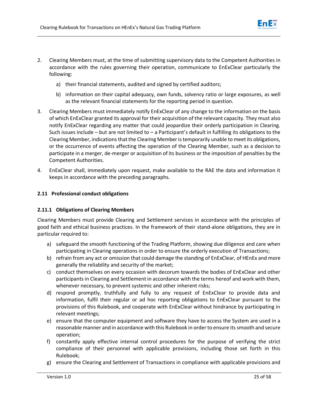

- 2. Clearing Members must, at the time of submitting supervisory data to the Competent Authorities in accordance with the rules governing their operation, communicate to EnExClear particularly the following:
	- a) their financial statements, audited and signed by certified auditors;
	- b) information on their capital adequacy, own funds, solvency ratio or large exposures, as well as the relevant financial statements for the reporting period in question.
- 3. Clearing Members must immediately notify EnExClear of any change to the information on the basis of which EnExClear granted its approval for their acquisition of the relevant capacity. They must also notify EnExClear regarding any matter that could jeopardize their orderly participation in Clearing. Such issues include – but are not limited to – a Participant's default in fulfilling its obligations to the Clearing Member, indications that the Clearing Member is temporarily unable to meet its obligations, or the occurrence of events affecting the operation of the Clearing Member, such as a decision to participate in a merger, de-merger or acquisition of its business or the imposition of penalties by the Competent Authorities.
- 4. EnExClear shall, immediately upon request, make available to the RAE the data and information it keeps in accordance with the preceding paragraphs.

# **2.11 Professional conduct obligations**

# <span id="page-26-0"></span>**2.11.1 Obligations of Clearing Members**

<span id="page-26-1"></span>Clearing Members must provide Clearing and Settlement services in accordance with the principles of good faith and ethical business practices. In the framework of their stand-alone obligations, they are in particular required to:

- a) safeguard the smooth functioning of the Trading Platform, showing due diligence and care when participating in Clearing operations in order to ensure the orderly execution of Transactions;
- b) refrain from any act or omission that could damage the standing of EnExClear, of HEnEx and more generally the reliability and security of the market;
- c) conduct themselves on every occasion with decorum towards the bodies of EnExClear and other participants in Clearing and Settlement in accordance with the terms hereof and work with them, whenever necessary, to prevent systemic and other inherent risks;
- d) respond promptly, truthfully and fully to any request of EnExClear to provide data and information, fulfil their regular or ad hoc reporting obligations to EnExClear pursuant to the provisions of this Rulebook, and cooperate with EnExClear without hindrance by participating in relevant meetings;
- e) ensure that the computer equipment and software they have to access the System are used in a reasonable manner and in accordance with this Rulebook in order to ensure its smooth and secure operation;
- f) constantly apply effective internal control procedures for the purpose of verifying the strict compliance of their personnel with applicable provisions, including those set forth in this Rulebook;
- g) ensure the Clearing and Settlement of Transactions in compliance with applicable provisions and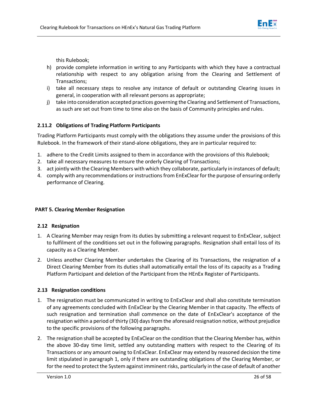

this Rulebook;

- h) provide complete information in writing to any Participants with which they have a contractual relationship with respect to any obligation arising from the Clearing and Settlement of Transactions;
- i) take all necessary steps to resolve any instance of default or outstanding Clearing issues in general, in cooperation with all relevant persons as appropriate;
- j) take into consideration accepted practices governing the Clearing and Settlement of Transactions, as such are set out from time to time also on the basis of Community principles and rules.

# **2.11.2 Obligations of Trading Platform Participants**

<span id="page-27-0"></span>Trading Platform Participants must comply with the obligations they assume under the provisions of this Rulebook. In the framework of their stand-alone obligations, they are in particular required to:

- 1. adhere to the Credit Limits assigned to them in accordance with the provisions of this Rulebook;
- 2. take all necessary measures to ensure the orderly Clearing of Transactions;
- 3. act jointly with the Clearing Members with which they collaborate, particularly in instances of default;
- 4. comply with any recommendations or instructions from EnExClear for the purpose of ensuring orderly performance of Clearing.

# **PART 5. Clearing Member Resignation**

# **2.12 Resignation**

- 1. A Clearing Member may resign from its duties by submitting a relevant request to EnExClear, subject to fulfilment of the conditions set out in the following paragraphs. Resignation shall entail loss of its capacity as a Clearing Member.
- <span id="page-27-1"></span>2. Unless another Clearing Member undertakes the Clearing of its Transactions, the resignation of a Direct Clearing Member from its duties shall automatically entail the loss of its capacity as a Trading Platform Participant and deletion of the Participant from the HEnEx Register of Participants.

# **2.13 Resignation conditions**

- <span id="page-27-2"></span>1. The resignation must be communicated in writing to EnExClear and shall also constitute termination of any agreements concluded with EnExClear by the Clearing Member in that capacity. The effects of such resignation and termination shall commence on the date of EnExClear's acceptance of the resignation within a period of thirty (30) days from the aforesaid resignation notice, without prejudice to the specific provisions of the following paragraphs.
- 2. The resignation shall be accepted by EnExClear on the condition that the Clearing Member has, within the above 30-day time limit, settled any outstanding matters with respect to the Clearing of its Transactions or any amount owing to EnExClear. EnExClear may extend by reasoned decision the time limit stipulated in paragraph 1, only if there are outstanding obligations of the Clearing Member, or for the need to protect the System against imminent risks, particularly in the case of default of another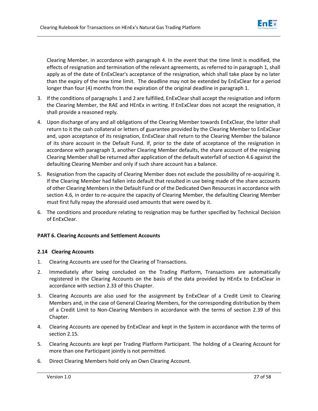

Clearing Member, in accordance with paragraph 4. In the event that the time limit is modified, the effects of resignation and termination of the relevant agreements, as referred to in paragraph 1, shall apply as of the date of EnExClear's acceptance of the resignation, which shall take place by no later than the expiry of the new time limit. The deadline may not be extended by EnExClear for a period longer than four (4) months from the expiration of the original deadline in paragraph 1.

- 3. If the conditions of paragraphs 1 and 2 are fulfilled, EnExClear shall accept the resignation and inform the Clearing Member, the RAE and HEnEx in writing. If EnExClear does not accept the resignation, it shall provide a reasoned reply.
- 4. Upon discharge of any and all obligations of the Clearing Member towards EnExClear, the latter shall return to it the cash collateral or letters of guarantee provided by the Clearing Member to EnExClear and, upon acceptance of its resignation, EnExClear shall return to the Clearing Member the balance of its share account in the Default Fund. If, prior to the date of acceptance of the resignation in accordance with paragraph 3, another Clearing Member defaults, the share account of the resigning Clearing Member shall be returned after application of the default waterfall of section 4.6 against the defaulting Clearing Member and only if such share account has a balance.
- 5. Resignation from the capacity of Clearing Member does not exclude the possibility of re-acquiring it. If the Clearing Member had fallen into default that resulted in use being made of the share accounts of other Clearing Members in the Default Fund or of the Dedicated Own Resources in accordance with section 4.6, in order to re-acquire the capacity of Clearing Member, the defaulting Clearing Member must first fully repay the aforesaid used amounts that were owed by it.
- 6. The conditions and procedure relating to resignation may be further specified by Technical Decision of EnExClear.

# **PART 6. Clearing Accounts and Settlement Accounts**

# **2.14 Clearing Accounts**

- 1. Clearing Accounts are used for the Clearing of Transactions.
- <span id="page-28-0"></span>2. Immediately after being concluded on the Trading Platform, Transactions are automatically registered in the Clearing Accounts on the basis of the data provided by HEnEx to EnExClear in accordance with section 2.33 of this Chapter.
- 3. Clearing Accounts are also used for the assignment by EnExClear of a Credit Limit to Clearing Members and, in the case of General Clearing Members, for the corresponding distribution by them of a Credit Limit to Non-Clearing Members in accordance with the terms of section 2.39 of this Chapter.
- 4. Clearing Accounts are opened by EnExClear and kept in the System in accordance with the terms of section 2.15.
- 5. Clearing Accounts are kept per Trading Platform Participant. The holding of a Clearing Account for more than one Participant jointly is not permitted.
- 6. Direct Clearing Members hold only an Own Clearing Account.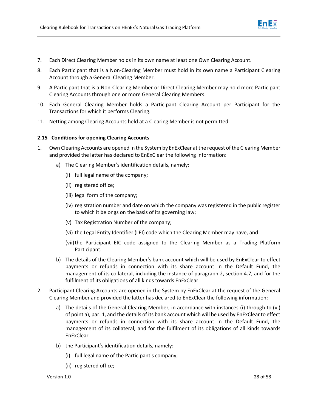

- 7. Each Direct Clearing Member holds in its own name at least one Own Clearing Account.
- 8. Each Participant that is a Non-Clearing Member must hold in its own name a Participant Clearing Account through a General Clearing Member.
- 9. A Participant that is a Non-Clearing Member or Direct Clearing Member may hold more Participant Clearing Accounts through one or more General Clearing Members.
- 10. Each General Clearing Member holds a Participant Clearing Account per Participant for the Transactions for which it performs Clearing.
- 11. Netting among Clearing Accounts held at a Clearing Member is not permitted.

## **2.15 Conditions for opening Clearing Accounts**

- <span id="page-29-0"></span>1. Own Clearing Accounts are opened in the System by EnExClear at the request of the Clearing Member and provided the latter has declared to EnExClear the following information:
	- a) The Clearing Member's identification details, namely:
		- (i) full legal name of the company;
		- (ii) registered office;
		- (iii) legal form of the company;
		- (iv) registration number and date on which the company was registered in the public register to which it belongs on the basis of its governing law;
		- (v) Tax Registration Number of the company;
		- (vi) the Legal Entity Identifier (LEI) code which the Clearing Member may have, and
		- (vii)the Participant EIC code assigned to the Clearing Member as a Trading Platform Participant.
	- b) The details of the Clearing Member's bank account which will be used by EnExClear to effect payments or refunds in connection with its share account in the Default Fund, the management of its collateral, including the instance of paragraph 2, section 4.7, and for the fulfilment of its obligations of all kinds towards EnExClear.
- 2. Participant Clearing Accounts are opened in the System by EnExClear at the request of the General Clearing Member and provided the latter has declared to EnExClear the following information:
	- a) The details of the General Clearing Member, in accordance with instances (i) through to (vi) of point a), par. 1, and the details of its bank account which will be used by EnExClear to effect payments or refunds in connection with its share account in the Default Fund, the management of its collateral, and for the fulfilment of its obligations of all kinds towards EnExClear.
	- b) the Participant's identification details, namely:
		- (i) full legal name of the Participant's company;
		- (ii) registered office;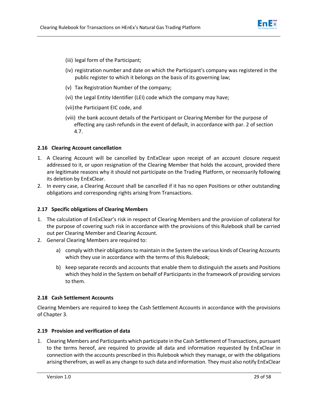

- (iii) legal form of the Participant;
- (iv) registration number and date on which the Participant's company was registered in the public register to which it belongs on the basis of its governing law;
- (v) Tax Registration Number of the company;
- (vi) the Legal Entity Identifier (LEI) code which the company may have;
- (vii) the Participant EIC code, and
- (viii) the bank account details of the Participant or Clearing Member for the purpose of effecting any cash refunds in the event of default, in accordance with par. 2 of section 4.7.

## **2.16 Clearing Account cancellation**

- <span id="page-30-0"></span>1. A Clearing Account will be cancelled by EnExClear upon receipt of an account closure request addressed to it, or upon resignation of the Clearing Member that holds the account, provided there are legitimate reasons why it should not participate on the Trading Platform, or necessarily following its deletion by EnExClear.
- 2. In every case, a Clearing Account shall be cancelled if it has no open Positions or other outstanding obligations and corresponding rights arising from Transactions.

## **2.17 Specific obligations of Clearing Members**

- <span id="page-30-1"></span>1. The calculation of EnExClear's risk in respect of Clearing Members and the provision of collateral for the purpose of covering such risk in accordance with the provisions of this Rulebook shall be carried out per Clearing Member and Clearing Account.
- 2. General Clearing Members are required to:
	- a) comply with their obligations to maintain in the System the various kinds of Clearing Accounts which they use in accordance with the terms of this Rulebook;
	- b) keep separate records and accounts that enable them to distinguish the assets and Positions which they hold in the System on behalf of Participants in the framework of providing services to them.

## **2.18 Cash Settlement Accounts**

<span id="page-30-2"></span>Clearing Members are required to keep the Cash Settlement Accounts in accordance with the provisions of Chapter 3.

## **2.19 Provision and verification of data**

<span id="page-30-3"></span>1. Clearing Members and Participants which participate in the Cash Settlement of Transactions, pursuant to the terms hereof, are required to provide all data and information requested by EnExClear in connection with the accounts prescribed in this Rulebook which they manage, or with the obligations arising therefrom, as well as any change to such data and information. They must also notify EnExClear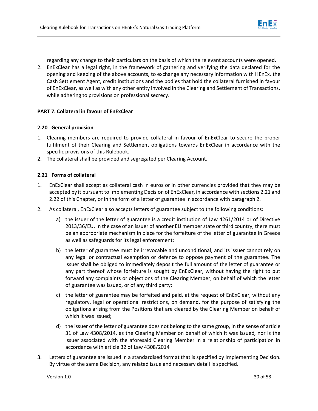

regarding any change to their particulars on the basis of which the relevant accounts were opened.

2. EnExClear has a legal right, in the framework of gathering and verifying the data declared for the opening and keeping of the above accounts, to exchange any necessary information with HEnEx, the Cash Settlement Agent, credit institutions and the bodies that hold the collateral furnished in favour of EnExClear, as well as with any other entity involved in the Clearing and Settlement of Transactions, while adhering to provisions on professional secrecy.

# **PART 7. Collateral in favour of EnExClear**

# **2.20 General provision**

- 1. Clearing members are required to provide collateral in favour of EnExClear to secure the proper fulfilment of their Clearing and Settlement obligations towards EnExClear in accordance with the specific provisions of this Rulebook.
- <span id="page-31-0"></span>2. The collateral shall be provided and segregated per Clearing Account.

# **2.21 Forms of collateral**

- <span id="page-31-1"></span>1. EnExClear shall accept as collateral cash in euros or in other currencies provided that they may be accepted by it pursuant to Implementing Decision of EnExClear, in accordance with sections 2.21 and 2.22 of this Chapter, or in the form of a letter of guarantee in accordance with paragraph 2.
- 2. As collateral, EnExClear also accepts letters of guarantee subject to the following conditions:
	- a) the issuer of the letter of guarantee is a credit institution of Law 4261/2014 or of Directive 2013/36/EU. In the case of an issuer of another EU member state or third country, there must be an appropriate mechanism in place for the forfeiture of the letter of guarantee in Greece as well as safeguards for its legal enforcement;
	- b) the letter of guarantee must be irrevocable and unconditional, and its issuer cannot rely on any legal or contractual exemption or defence to oppose payment of the guarantee. The issuer shall be obliged to immediately deposit the full amount of the letter of guarantee or any part thereof whose forfeiture is sought by EnExClear, without having the right to put forward any complaints or objections of the Clearing Member, on behalf of which the letter of guarantee was issued, or of any third party;
	- c) the letter of guarantee may be forfeited and paid, at the request of EnExClear, without any regulatory, legal or operational restrictions, on demand, for the purpose of satisfying the obligations arising from the Positions that are cleared by the Clearing Member on behalf of which it was issued;
	- d) the issuer of the letter of guarantee does not belong to the same group, in the sense of article 31 of Law 4308/2014, as the Clearing Member on behalf of which it was issued, nor is the issuer associated with the aforesaid Clearing Member in a relationship of participation in accordance with article 32 of Law 4308/2014
- 3. Letters of guarantee are issued in a standardised format that is specified by Implementing Decision. By virtue of the same Decision, any related issue and necessary detail is specified.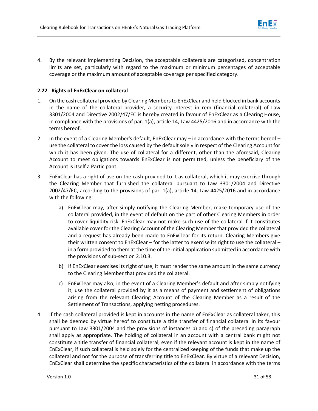

4. By the relevant Implementing Decision, the acceptable collaterals are categorised, concentration limits are set, particularly with regard to the maximum or minimum percentages of acceptable coverage or the maximum amount of acceptable coverage per specified category.

# **2.22 Rights of EnExClear on collateral**

- <span id="page-32-0"></span>1. On the cash collateral provided by Clearing Members to EnExClear and held blocked in bank accounts in the name of the collateral provider, a security interest in rem (financial collateral) of Law 3301/2004 and Directive 2002/47/EC is hereby created in favour of EnExClear as a Clearing House, in compliance with the provisions of par. 1(a), article 14, Law 4425/2016 and in accordance with the terms hereof.
- 2. In the event of a Clearing Member's default, EnExClear may in accordance with the terms hereof use the collateral to cover the loss caused by the default solely in respect of the Clearing Account for which it has been given. The use of collateral for a different, other than the aforesaid, Clearing Account to meet obligations towards EnExClear is not permitted, unless the beneficiary of the Account is itself a Participant.
- 3. EnExClear has a right of use on the cash provided to it as collateral, which it may exercise through the Clearing Member that furnished the collateral pursuant to Law 3301/2004 and Directive 2002/47/EC, according to the provisions of par. 1(a), article 14, Law 4425/2016 and in accordance with the following:
	- a) EnExClear may, after simply notifying the Clearing Member, make temporary use of the collateral provided, in the event of default on the part of other Clearing Members in order to cover liquidity risk. EnExClear may not make such use of the collateral if it constitutes available cover for the Clearing Account of the Clearing Member that provided the collateral and a request has already been made to EnExClear for its return. Clearing Members give their written consent to EnExClear – for the latter to exercise its right to use the collateral – in a form provided to them at the time of the initial application submitted in accordance with the provisions of sub-section 2.10.3.
	- b) If EnExClear exercises its right of use, it must render the same amount in the same currency to the Clearing Member that provided the collateral.
	- c) EnExClear may also, in the event of a Clearing Member's default and after simply notifying it, use the collateral provided by it as a means of payment and settlement of obligations arising from the relevant Clearing Account of the Clearing Member as a result of the Settlement of Transactions, applying netting procedures.
- 4. If the cash collateral provided is kept in accounts in the name of EnExClear as collateral taker, this shall be deemed by virtue hereof to constitute a title transfer of financial collateral in its favour pursuant to Law 3301/2004 and the provisions of instances b) and c) of the preceding paragraph shall apply as appropriate. The holding of collateral in an account with a central bank might not constitute a title transfer of financial collateral, even if the relevant account is kept in the name of EnExClear, if such collateral is held solely for the centralized keeping of the funds that make up the collateral and not for the purpose of transferring title to EnExClear. By virtue of a relevant Decision, EnExClear shall determine the specific characteristics of the collateral in accordance with the terms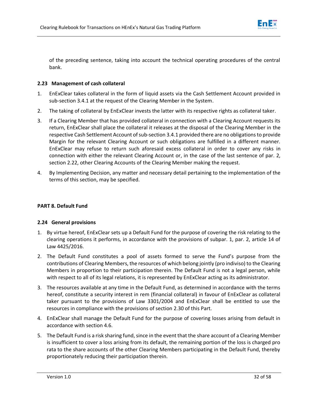

of the preceding sentence, taking into account the technical operating procedures of the central bank.

# **2.23 Management of cash collateral**

- 1. EnExClear takes collateral in the form of liquid assets via the Cash Settlement Account provided in sub-section 3.4.1 at the request of the Clearing Member in the System.
- <span id="page-33-0"></span>2. The taking of collateral by EnExClear invests the latter with its respective rights as collateral taker.
- 3. If a Clearing Member that has provided collateral in connection with a Clearing Account requests its return, EnExClear shall place the collateral it releases at the disposal of the Clearing Member in the respective Cash Settlement Account of sub-section 3.4.1 provided there are no obligations to provide Margin for the relevant Clearing Account or such obligations are fulfilled in a different manner. EnExClear may refuse to return such aforesaid excess collateral in order to cover any risks in connection with either the relevant Clearing Account or, in the case of the last sentence of par. 2, section 2.22, other Clearing Accounts of the Clearing Member making the request.
- 4. By Implementing Decision, any matter and necessary detail pertaining to the implementation of the terms of this section, may be specified.

## **PART 8. Default Fund**

# **2.24 General provisions**

- 1. By virtue hereof, EnExClear sets up a Default Fund for the purpose of covering the risk relating to the clearing operations it performs, in accordance with the provisions of subpar. 1, par. 2, article 14 of Law 4425/2016.
- <span id="page-33-1"></span>2. The Default Fund constitutes a pool of assets formed to serve the Fund's purpose from the contributions of Clearing Members, the resources of which belong jointly (pro indiviso) to the Clearing Members in proportion to their participation therein. The Default Fund is not a legal person, while with respect to all of its legal relations, it is represented by EnExClear acting as its administrator.
- 3. The resources available at any time in the Default Fund, as determined in accordance with the terms hereof, constitute a security interest in rem (financial collateral) in favour of EnExClear as collateral taker pursuant to the provisions of Law 3301/2004 and EnExClear shall be entitled to use the resources in compliance with the provisions of section 2.30 of this Part.
- 4. EnExClear shall manage the Default Fund for the purpose of covering losses arising from default in accordance with section 4.6.
- 5. The Default Fund is a risk sharing fund, since in the event that the share account of a Clearing Member is insufficient to cover a loss arising from its default, the remaining portion of the loss is charged pro rata to the share accounts of the other Clearing Members participating in the Default Fund, thereby proportionately reducing their participation therein.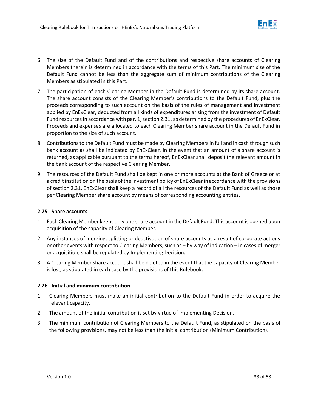

- 6. The size of the Default Fund and of the contributions and respective share accounts of Clearing Members therein is determined in accordance with the terms of this Part. The minimum size of the Default Fund cannot be less than the aggregate sum of minimum contributions of the Clearing Members as stipulated in this Part.
- 7. The participation of each Clearing Member in the Default Fund is determined by its share account. The share account consists of the Clearing Member's contributions to the Default Fund, plus the proceeds corresponding to such account on the basis of the rules of management and investment applied by EnExClear, deducted from all kinds of expenditures arising from the investment of Default Fund resources in accordance with par. 1, section 2.31, as determined by the procedures of EnExClear. Proceeds and expenses are allocated to each Clearing Member share account in the Default Fund in proportion to the size of such account.
- 8. Contributions to the Default Fund must be made by Clearing Members in full and in cash through such bank account as shall be indicated by EnExClear. In the event that an amount of a share account is returned, as applicable pursuant to the terms hereof, EnExClear shall deposit the relevant amount in the bank account of the respective Clearing Member.
- 9. The resources of the Default Fund shall be kept in one or more accounts at the Bank of Greece or at a credit institution on the basis of the investment policy of EnExClear in accordance with the provisions of section 2.31. EnExClear shall keep a record of all the resources of the Default Fund as well as those per Clearing Member share account by means of corresponding accounting entries.

# **2.25 Share accounts**

- 1. Each Clearing Member keeps only one share account in the Default Fund. This account is opened upon acquisition of the capacity of Clearing Member.
- <span id="page-34-0"></span>2. Any instances of merging, splitting or deactivation of share accounts as a result of corporate actions or other events with respect to Clearing Members, such as – by way of indication – in cases of merger or acquisition, shall be regulated by Implementing Decision.
- 3. A Clearing Member share account shall be deleted in the event that the capacity of Clearing Member is lost, as stipulated in each case by the provisions of this Rulebook.

# **2.26 Initial and minimum contribution**

- 1. Clearing Members must make an initial contribution to the Default Fund in order to acquire the relevant capacity.
- <span id="page-34-1"></span>2. The amount of the initial contribution is set by virtue of Implementing Decision.
- 3. The minimum contribution of Clearing Members to the Default Fund, as stipulated on the basis of the following provisions, may not be less than the initial contribution (Minimum Contribution).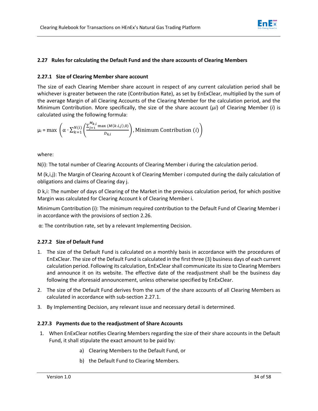

# **2.27 Rules for calculating the Default Fund and the share accounts of Clearing Members**

## **2.27.1 Size of Clearing Member share account**

<span id="page-35-1"></span><span id="page-35-0"></span>The size of each Clearing Member share account in respect of any current calculation period shall be whichever is greater between the rate (Contribution Rate), as set by EnExClear, multiplied by the sum of the average Margin of all Clearing Accounts of the Clearing Member for the calculation period, and the Minimum Contribution. More specifically, the size of the share account (*μi*) of Clearing Member (*i*) is calculated using the following formula:

$$
\mu_i = \max \left( \alpha \cdot \sum_{k=1}^{N(i)} \left( \frac{\sum_{j=1}^{M_{k,i}} \max{(M(k.i,j),0)}}{D_{k,i}} \right), \text{Minimum Contribution (i)} \right)
$$

where:

N(i): The total number of Clearing Accounts of Clearing Member i during the calculation period.

M (k,i,j): The Margin of Clearing Account k of Clearing Member i computed during the daily calculation of obligations and claims of Clearing day j.

D k,i: The number of days of Clearing of the Market in the previous calculation period, for which positive Margin was calculated for Clearing Account k of Clearing Member i.

Minimum Contribution (i): The minimum required contribution to the Default Fund of Clearing Member i in accordance with the provisions of section 2.26.

α: The contribution rate, set by a relevant Implementing Decision.

# **2.27.2 Size of Default Fund**

- <span id="page-35-2"></span>1. The size of the Default Fund is calculated on a monthly basis in accordance with the procedures of EnExClear. The size of the Default Fund is calculated in the first three (3) business days of each current calculation period. Following its calculation, EnExClear shall communicate itssize to Clearing Members and announce it on its website. The effective date of the readjustment shall be the business day following the aforesaid announcement, unless otherwise specified by EnExClear.
- 2. The size of the Default Fund derives from the sum of the share accounts of all Clearing Members as calculated in accordance with sub-section 2.27.1.
- 3. By Implementing Decision, any relevant issue and necessary detail is determined.

## **2.27.3 Payments due to the readjustment of Share Accounts**

- <span id="page-35-3"></span>1. When EnExClear notifies Clearing Members regarding the size of their share accounts in the Default Fund, it shall stipulate the exact amount to be paid by:
	- a) Clearing Members to the Default Fund, or
	- b) the Default Fund to Clearing Members.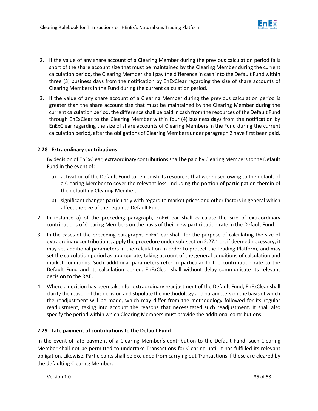- 2. If the value of any share account of a Clearing Member during the previous calculation period falls short of the share account size that must be maintained by the Clearing Member during the current calculation period, the Clearing Member shall pay the difference in cash into the Default Fund within three (3) business days from the notification by EnExClear regarding the size of share accounts of Clearing Members in the Fund during the current calculation period.
- 3. If the value of any share account of a Clearing Member during the previous calculation period is greater than the share account size that must be maintained by the Clearing Member during the current calculation period, the difference shall be paid in cash from the resources of the Default Fund through EnExClear to the Clearing Member within four (4) business days from the notification by EnExClear regarding the size of share accounts of Clearing Members in the Fund during the current calculation period, after the obligations of Clearing Members under paragraph 2 have first been paid.

# **2.28 Extraordinary contributions**

- <span id="page-36-0"></span>1. By decision of EnExClear, extraordinary contributions shall be paid by Clearing Members to the Default Fund in the event of:
	- a) activation of the Default Fund to replenish its resources that were used owing to the default of a Clearing Member to cover the relevant loss, including the portion of participation therein of the defaulting Clearing Member;
	- b) significant changes particularly with regard to market prices and other factors in general which affect the size of the required Default Fund.
- 2. In instance a) of the preceding paragraph, EnExClear shall calculate the size of extraordinary contributions of Clearing Members on the basis of their new participation rate in the Default Fund.
- 3. In the cases of the preceding paragraphs EnExClear shall, for the purpose of calculating the size of extraordinary contributions, apply the procedure under sub-section 2.27.1 or, if deemed necessary, it may set additional parameters in the calculation in order to protect the Trading Platform, and may set the calculation period as appropriate, taking account of the general conditions of calculation and market conditions. Such additional parameters refer in particular to the contribution rate to the Default Fund and its calculation period. EnExClear shall without delay communicate its relevant decision to the RAE.
- 4. Where a decision has been taken for extraordinary readjustment of the Default Fund, EnExClear shall clarify the reason of this decision and stipulate the methodology and parameters on the basis of which the readjustment will be made, which may differ from the methodology followed for its regular readjustment, taking into account the reasons that necessitated such readjustment. It shall also specify the period within which Clearing Members must provide the additional contributions.

# **2.29 Late payment of contributions to the Default Fund**

<span id="page-36-1"></span>In the event of late payment of a Clearing Member's contribution to the Default Fund, such Clearing Member shall not be permitted to undertake Transactions for Clearing until it has fulfilled its relevant obligation. Likewise, Participants shall be excluded from carrying out Transactions if these are cleared by the defaulting Clearing Member.

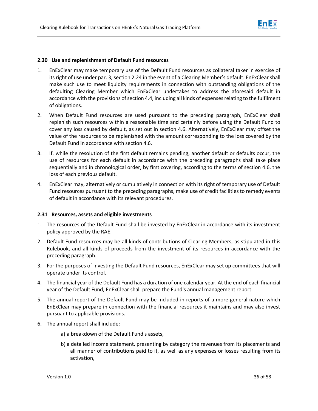

## **2.30 Use and replenishment of Default Fund resources**

- <span id="page-37-0"></span>1. EnExClear may make temporary use of the Default Fund resources as collateral taker in exercise of its right of use under par. 3, section 2.24 in the event of a Clearing Member's default. EnExClear shall make such use to meet liquidity requirements in connection with outstanding obligations of the defaulting Clearing Member which EnExClear undertakes to address the aforesaid default in accordance with the provisions of section 4.4, including all kinds of expenses relating to the fulfilment of obligations.
- 2. When Default Fund resources are used pursuant to the preceding paragraph, EnExClear shall replenish such resources within a reasonable time and certainly before using the Default Fund to cover any loss caused by default, as set out in section 4.6. Alternatively, EnExClear may offset the value of the resources to be replenished with the amount corresponding to the loss covered by the Default Fund in accordance with section 4.6.
- 3. If, while the resolution of the first default remains pending, another default or defaults occur, the use of resources for each default in accordance with the preceding paragraphs shall take place sequentially and in chronological order, by first covering, according to the terms of section 4.6, the loss of each previous default.
- 4. EnExClear may, alternatively or cumulatively in connection with its right of temporary use of Default Fund resources pursuant to the preceding paragraphs, make use of credit facilities to remedy events of default in accordance with its relevant procedures.

## **2.31 Resources, assets and eligible investments**

- 1. The resources of the Default Fund shall be invested by EnExClear in accordance with its investment policy approved by the RAE.
- <span id="page-37-1"></span>2. Default Fund resources may be all kinds of contributions of Clearing Members, as stipulated in this Rulebook, and all kinds of proceeds from the investment of its resources in accordance with the preceding paragraph.
- 3. For the purposes of investing the Default Fund resources, EnExClear may set up committees that will operate under its control.
- 4. The financial year of the Default Fund has a duration of one calendar year. At the end of each financial year of the Default Fund, EnExClear shall prepare the Fund's annual management report.
- 5. The annual report of the Default Fund may be included in reports of a more general nature which EnExClear may prepare in connection with the financial resources it maintains and may also invest pursuant to applicable provisions.
- 6. The annual report shall include:
	- a) a breakdown of the Default Fund's assets,
	- b) a detailed income statement, presenting by category the revenues from its placements and all manner of contributions paid to it, as well as any expenses or losses resulting from its activation,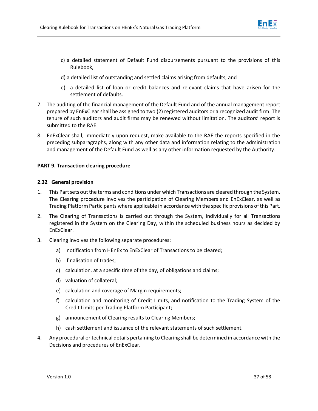

- c) a detailed statement of Default Fund disbursements pursuant to the provisions of this Rulebook,
- d) a detailed list of outstanding and settled claims arising from defaults, and
- e) a detailed list of loan or credit balances and relevant claims that have arisen for the settlement of defaults.
- 7. The auditing of the financial management of the Default Fund and of the annual management report prepared by EnExClear shall be assigned to two (2) registered auditors or a recognized audit firm. The tenure of such auditors and audit firms may be renewed without limitation. The auditors' report is submitted to the RAE.
- 8. EnExClear shall, immediately upon request, make available to the RAE the reports specified in the preceding subparagraphs, along with any other data and information relating to the administration and management of the Default Fund as well as any other information requested by the Authority.

## **PART 9. Transaction clearing procedure**

## **2.32 General provision**

- 1. This Part sets out the terms and conditions under which Transactions are cleared through the System. The Clearing procedure involves the participation of Clearing Members and EnExClear, as well as Trading Platform Participants where applicable in accordance with the specific provisions of this Part.
- <span id="page-38-0"></span>2. The Clearing of Transactions is carried out through the System, individually for all Transactions registered in the System on the Clearing Day, within the scheduled business hours as decided by EnExClear.
- 3. Clearing involves the following separate procedures:
	- a) notification from HEnEx to EnExClear of Transactions to be cleared;
	- b) finalisation of trades;
	- c) calculation, at a specific time of the day, of obligations and claims;
	- d) valuation of collateral;
	- e) calculation and coverage of Margin requirements;
	- f) calculation and monitoring of Credit Limits, and notification to the Trading System of the Credit Limits per Trading Platform Participant;
	- g) announcement of Clearing results to Clearing Members;
	- h) cash settlement and issuance of the relevant statements of such settlement.
- 4. Any procedural or technical details pertaining to Clearing shall be determined in accordance with the Decisions and procedures of EnExClear.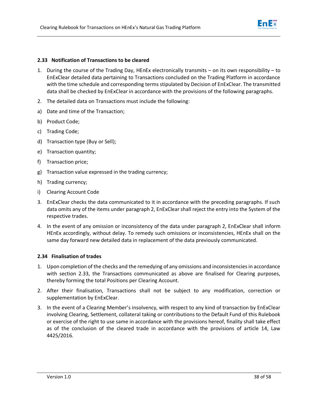## **2.33 Notification of Transactions to be cleared**

- <span id="page-39-0"></span>1. During the course of the Trading Day, HEnEx electronically transmits – on its own responsibility – to EnExClear detailed data pertaining to Transactions concluded on the Trading Platform in accordance with the time schedule and corresponding terms stipulated by Decision of EnExClear. The transmitted data shall be checked by EnExClear in accordance with the provisions of the following paragraphs.
- 2. The detailed data on Transactions must include the following:
- a) Date and time of the Transaction;
- b) Product Code;
- c) Trading Code;
- d) Transaction type (Buy or Sell);
- e) Transaction quantity;
- f) Transaction price;
- g) Transaction value expressed in the trading currency;
- h) Trading currency;
- i) Clearing Account Code
- 3. EnExClear checks the data communicated to it in accordance with the preceding paragraphs. If such data omits any of the items under paragraph 2, EnExClear shall reject the entry into the System of the respective trades.
- 4. In the event of any omission or inconsistency of the data under paragraph 2, EnExClear shall inform HEnEx accordingly, without delay. To remedy such omissions or inconsistencies, HEnEx shall on the same day forward new detailed data in replacement of the data previously communicated.

# **2.34 Finalisation of trades**

- <span id="page-39-1"></span>1. Upon completion of the checks and the remedying of any omissions and inconsistencies in accordance with section 2.33, the Transactions communicated as above are finalised for Clearing purposes, thereby forming the total Positions per Clearing Account.
- 2. After their finalisation, Transactions shall not be subject to any modification, correction or supplementation by EnExClear.
- 3. In the event of a Clearing Member's insolvency, with respect to any kind of transaction by EnExClear involving Clearing, Settlement, collateral taking or contributions to the Default Fund of this Rulebook or exercise of the right to use same in accordance with the provisions hereof, finality shall take effect as of the conclusion of the cleared trade in accordance with the provisions of article 14, Law 4425/2016.

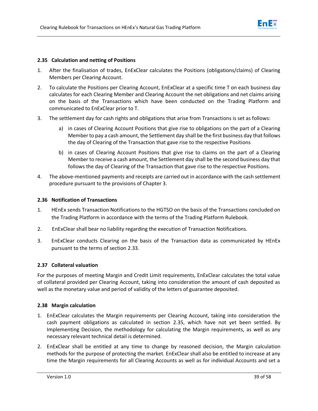

## **2.35 Calculation and netting of Positions**

- 1. After the finalisation of trades, EnExClear calculates the Positions (obligations/claims) of Clearing Members per Clearing Account.
- <span id="page-40-0"></span>2. To calculate the Positions per Clearing Account, EnExClear at a specific time T on each business day calculates for each Clearing Member and Clearing Account the net obligations and net claims arising on the basis of the Transactions which have been conducted on the Trading Platform and communicated to EnExClear prior to T.
- 3. The settlement day for cash rights and obligations that arise from Transactions is set as follows:
	- a) in cases of Clearing Account Positions that give rise to obligations on the part of a Clearing Member to pay a cash amount, the Settlement day shall be the first business day that follows the day of Clearing of the Transaction that gave rise to the respective Positions
	- b) in cases of Clearing Account Positions that give rise to claims on the part of a Clearing Member to receive a cash amount, the Settlement day shall be the second business day that follows the day of Clearing of the Transaction that gave rise to the respective Positions.
- 4. The above-mentioned payments and receipts are carried out in accordance with the cash settlement procedure pursuant to the provisions of Chapter 3.

## **2.36 Notification of Transactions**

- <span id="page-40-1"></span>1. HEnEx sends Transaction Notifications to the HGTSO on the basis of the Transactions concluded on the Trading Platform in accordance with the terms of the Trading Platform Rulebook.
- 2. EnExClear shall bear no liability regarding the execution of Transaction Notifications.
- 3. EnExClear conducts Clearing on the basis of the Transaction data as communicated by HEnEx pursuant to the terms of section 2.33.

## **2.37 Collateral valuation**

<span id="page-40-2"></span>For the purposes of meeting Margin and Credit Limit requirements, EnExClear calculates the total value of collateral provided per Clearing Account, taking into consideration the amount of cash deposited as well as the monetary value and period of validity of the letters of guarantee deposited.

# **2.38 Margin calculation**

- <span id="page-40-3"></span>1. EnExClear calculates the Margin requirements per Clearing Account, taking into consideration the cash payment obligations as calculated in section 2.35, which have not yet been settled. By Implementing Decision, the methodology for calculating the Margin requirements, as well as any necessary relevant technical detail is determined.
- 2. EnExClear shall be entitled at any time to change by reasoned decision, the Margin calculation methods for the purpose of protecting the market. EnExClear shall also be entitled to increase at any time the Margin requirements for all Clearing Accounts as well as for individual Accounts and set a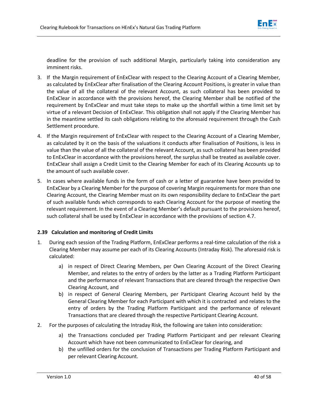

deadline for the provision of such additional Margin, particularly taking into consideration any imminent risks.

- 3. If the Margin requirement of EnExClear with respect to the Clearing Account of a Clearing Member, as calculated by EnExClear after finalisation of the Clearing Account Positions, is greater in value than the value of all the collateral of the relevant Account, as such collateral has been provided to EnExClear in accordance with the provisions hereof, the Clearing Member shall be notified of the requirement by EnExClear and must take steps to make up the shortfall within a time limit set by virtue of a relevant Decision of EnExClear. This obligation shall not apply if the Clearing Member has in the meantime settled its cash obligations relating to the aforesaid requirement through the Cash Settlement procedure.
- 4. If the Margin requirement of EnExClear with respect to the Clearing Account of a Clearing Member, as calculated by it on the basis of the valuations it conducts after finalisation of Positions, is less in value than the value of all the collateral of the relevant Account, as such collateral has been provided to EnExClear in accordance with the provisions hereof, the surplus shall be treated as available cover. EnExClear shall assign a Credit Limit to the Clearing Member for each of its Clearing Accounts up to the amount of such available cover.
- 5. In cases where available funds in the form of cash or a letter of guarantee have been provided to EnExClear by a Clearing Member for the purpose of covering Margin requirements for more than one Clearing Account, the Clearing Member must on its own responsibility declare to EnExClear the part of such available funds which corresponds to each Clearing Account for the purpose of meeting the relevant requirement. In the event of a Clearing Member's default pursuant to the provisions hereof, such collateral shall be used by EnExClear in accordance with the provisions of section 4.7.

# **2.39 Calculation and monitoring of Credit Limits**

- <span id="page-41-0"></span>1. During each session of the Trading Platform, EnExClear performs a real-time calculation of the risk a Clearing Member may assume per each of its Clearing Accounts (Intraday Risk). The aforesaid risk is calculated:
	- a) in respect of Direct Clearing Members, per Own Clearing Account of the Direct Clearing Member, and relates to the entry of orders by the latter as a Trading Platform Participant and the performance of relevant Transactions that are cleared through the respective Own Clearing Account, and
	- b) in respect of General Clearing Members, per Participant Clearing Account held by the General Clearing Member for each Participant with which it is contracted and relates to the entry of orders by the Trading Platform Participant and the performance of relevant Transactions that are cleared through the respective Participant Clearing Account.
- 2. For the purposes of calculating the Intraday Risk, the following are taken into consideration:
	- a) the Transactions concluded per Trading Platform Participant and per relevant Clearing Account which have not been communicated to EnExClear for clearing, and
	- b) the unfilled orders for the conclusion of Transactions per Trading Platform Participant and per relevant Clearing Account.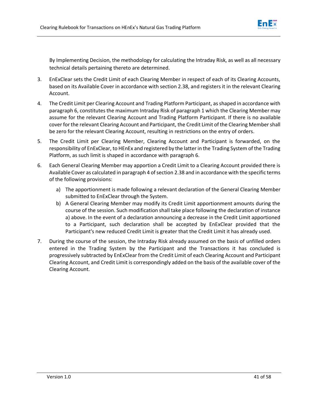

By Implementing Decision, the methodology for calculating the Intraday Risk, as well as all necessary technical details pertaining thereto are determined.

- 3. EnExClear sets the Credit Limit of each Clearing Member in respect of each of its Clearing Accounts, based on its Available Cover in accordance with section 2.38, and registers it in the relevant Clearing Account.
- 4. The Credit Limit per Clearing Account and Trading Platform Participant, as shaped in accordance with paragraph 6, constitutes the maximum Intraday Risk of paragraph 1 which the Clearing Member may assume for the relevant Clearing Account and Trading Platform Participant. If there is no available cover for the relevant Clearing Account and Participant, the Credit Limit of the Clearing Member shall be zero for the relevant Clearing Account, resulting in restrictions on the entry of orders.
- 5. The Credit Limit per Clearing Member, Clearing Account and Participant is forwarded, on the responsibility of EnExClear, to HEnEx and registered by the latter in the Trading System of the Trading Platform, as such limit is shaped in accordance with paragraph 6.
- 6. Each General Clearing Member may apportion a Credit Limit to a Clearing Account provided there is Available Cover as calculated in paragraph 4 of section 2.38 and in accordance with the specific terms of the following provisions:
	- a) The apportionment is made following a relevant declaration of the General Clearing Member submitted to EnExClear through the System.
	- b) A General Clearing Member may modify its Credit Limit apportionment amounts during the course of the session. Such modification shall take place following the declaration of instance a) above. In the event of a declaration announcing a decrease in the Credit Limit apportioned to a Participant, such declaration shall be accepted by EnExClear provided that the Participant's new reduced Credit Limit is greater that the Credit Limit it has already used.
- 7. During the course of the session, the Intraday Risk already assumed on the basis of unfilled orders entered in the Trading System by the Participant and the Transactions it has concluded is progressively subtracted by EnExClear from the Credit Limit of each Clearing Account and Participant Clearing Account, and Credit Limit is correspondingly added on the basis of the available cover of the Clearing Account.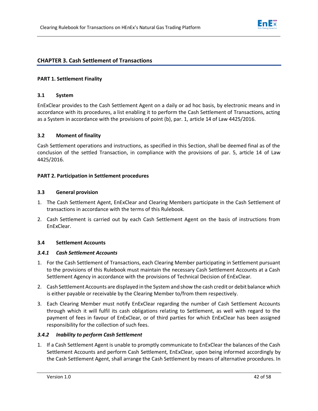

# **CHAPTER 3. Cash Settlement of Transactions**

## **PART 1. Settlement Finality**

## **3.1 System**

<span id="page-43-0"></span>EnExClear provides to the Cash Settlement Agent on a daily or ad hoc basis, by electronic means and in accordance with its procedures, a list enabling it to perform the Cash Settlement of Transactions, acting as a System in accordance with the provisions of point (b), par. 1, article 14 of Law 4425/2016.

## **3.2 Moment of finality**

<span id="page-43-1"></span>Cash Settlement operations and instructions, as specified in this Section, shall be deemed final as of the conclusion of the settled Transaction, in compliance with the provisions of par. 5, article 14 of Law 4425/2016.

## **PART 2. Participation in Settlement procedures**

## **3.3 General provision**

- 1. The Cash Settlement Agent, EnExClear and Clearing Members participate in the Cash Settlement of transactions in accordance with the terms of this Rulebook.
- <span id="page-43-2"></span>2. Cash Settlement is carried out by each Cash Settlement Agent on the basis of instructions from EnExClear.

# **3.4 Settlement Accounts**

## *3.4.1 Cash Settlement Accounts*

- <span id="page-43-3"></span>1. For the Cash Settlement of Transactions, each Clearing Member participating in Settlement pursuant to the provisions of this Rulebook must maintain the necessary Cash Settlement Accounts at a Cash Settlement Agency in accordance with the provisions of Technical Decision of EnExClear.
- <span id="page-43-4"></span>2. Cash Settlement Accounts are displayed in the System and show the cash credit or debit balance which is either payable or receivable by the Clearing Member to/from them respectively.
- 3. Each Clearing Member must notify EnExClear regarding the number of Cash Settlement Accounts through which it will fulfil its cash obligations relating to Settlement, as well with regard to the payment of fees in favour of EnExClear, or of third parties for which EnExClear has been assigned responsibility for the collection of such fees.

## *3.4.2 Inability to perform Cash Settlement*

<span id="page-43-5"></span>1. If a Cash Settlement Agent is unable to promptly communicate to EnExClear the balances of the Cash Settlement Accounts and perform Cash Settlement, EnExClear, upon being informed accordingly by the Cash Settlement Agent, shall arrange the Cash Settlement by means of alternative procedures. In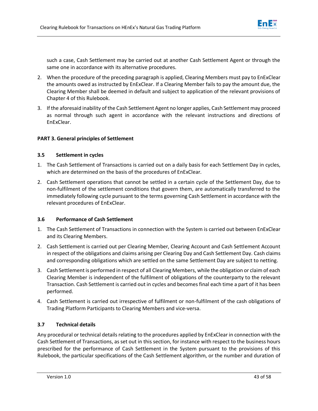

such a case, Cash Settlement may be carried out at another Cash Settlement Agent or through the same one in accordance with its alternative procedures.

- 2. When the procedure of the preceding paragraph is applied, Clearing Members must pay to EnExClear the amounts owed as instructed by EnExClear. If a Clearing Member fails to pay the amount due, the Clearing Member shall be deemed in default and subject to application of the relevant provisions of Chapter 4 of this Rulebook.
- 3. If the aforesaid inability of the Cash Settlement Agent no longer applies, Cash Settlement may proceed as normal through such agent in accordance with the relevant instructions and directions of EnExClear.

# **PART 3. General principles of Settlement**

# **3.5 Settlement in cycles**

- 1. The Cash Settlement of Transactions is carried out on a daily basis for each Settlement Day in cycles, which are determined on the basis of the procedures of EnExClear.
- <span id="page-44-0"></span>2. Cash Settlement operations that cannot be settled in a certain cycle of the Settlement Day, due to non-fulfilment of the settlement conditions that govern them, are automatically transferred to the immediately following cycle pursuant to the terms governing Cash Settlement in accordance with the relevant procedures of EnExClear.

# **3.6 Performance of Cash Settlement**

- 1. The Cash Settlement of Transactions in connection with the System is carried out between EnExClear and its Clearing Members.
- <span id="page-44-1"></span>2. Cash Settlement is carried out per Clearing Member, Clearing Account and Cash Settlement Account in respect of the obligations and claims arising per Clearing Day and Cash Settlement Day. Cash claims and corresponding obligations which are settled on the same Settlement Day are subject to netting.
- 3. Cash Settlement is performed in respect of all Clearing Members, while the obligation or claim of each Clearing Member is independent of the fulfilment of obligations of the counterparty to the relevant Transaction. Cash Settlement is carried out in cycles and becomes final each time a part of it has been performed.
- 4. Cash Settlement is carried out irrespective of fulfilment or non-fulfilment of the cash obligations of Trading Platform Participants to Clearing Members and vice-versa.

# **3.7 Technical details**

<span id="page-44-2"></span>Any procedural or technical details relating to the procedures applied by EnExClear in connection with the Cash Settlement of Transactions, as set out in this section, for instance with respect to the business hours prescribed for the performance of Cash Settlement in the System pursuant to the provisions of this Rulebook, the particular specifications of the Cash Settlement algorithm, or the number and duration of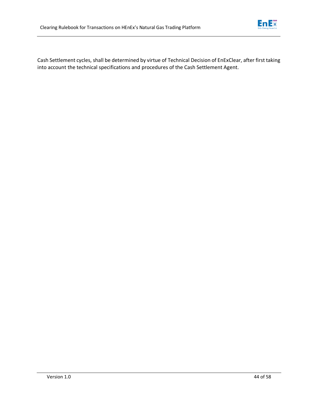

Cash Settlement cycles, shall be determined by virtue of Technical Decision of EnExClear, after first taking into account the technical specifications and procedures of the Cash Settlement Agent.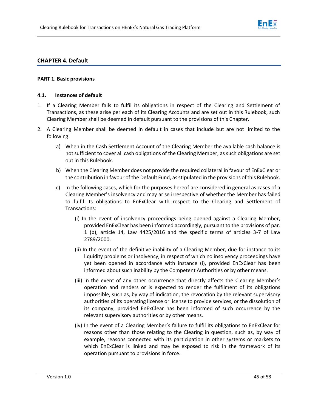

# **CHAPTER 4. Default**

## **PART 1. Basic provisions**

## **4.1. Instances of default**

- 1. If a Clearing Member fails to fulfil its obligations in respect of the Clearing and Settlement of Transactions, as these arise per each of its Clearing Accounts and are set out in this Rulebook, such Clearing Member shall be deemed in default pursuant to the provisions of this Chapter.
- <span id="page-46-0"></span>2. A Clearing Member shall be deemed in default in cases that include but are not limited to the following:
	- a) When in the Cash Settlement Account of the Clearing Member the available cash balance is not sufficient to cover all cash obligations of the Clearing Member, as such obligations are set out in this Rulebook.
	- b) When the Clearing Member does not provide the required collateral in favour of EnExClear or the contribution in favour of the Default Fund, as stipulated in the provisions of this Rulebook.
	- c) In the following cases, which for the purposes hereof are considered in general as cases of a Clearing Member's insolvency and may arise irrespective of whether the Member has failed to fulfil its obligations to EnExClear with respect to the Clearing and Settlement of Transactions:
		- (i) In the event of insolvency proceedings being opened against a Clearing Member, provided EnExClear has been informed accordingly, pursuant to the provisions of par. 1 (b), article 14, Law 4425/2016 and the specific terms of articles 3-7 of Law 2789/2000.
		- (ii) In the event of the definitive inability of a Clearing Member, due for instance to its liquidity problems or insolvency, in respect of which no insolvency proceedings have yet been opened in accordance with instance (i), provided EnExClear has been informed about such inability by the Competent Authorities or by other means.
		- (iii) In the event of any other occurrence that directly affects the Clearing Member's operation and renders or is expected to render the fulfilment of its obligations impossible, such as, by way of indication, the revocation by the relevant supervisory authorities of its operating license or license to provide services, or the dissolution of its company, provided EnExClear has been informed of such occurrence by the relevant supervisory authorities or by other means.
		- (iv) In the event of a Clearing Member's failure to fulfil its obligations to EnExClear for reasons other than those relating to the Clearing in question, such as, by way of example, reasons connected with its participation in other systems or markets to which EnExClear is linked and may be exposed to risk in the framework of its operation pursuant to provisions in force.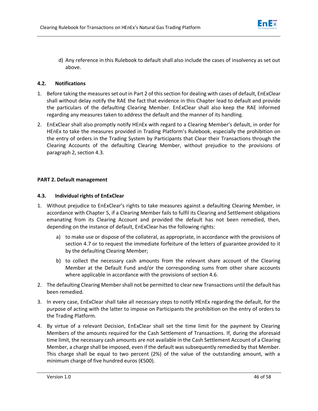

d) Any reference in this Rulebook to default shall also include the cases of insolvency as set out above.

# **4.2. Notifications**

- <span id="page-47-0"></span>1. Before taking the measures set out in Part 2 of this section for dealing with cases of default, EnExClear shall without delay notify the RAE the fact that evidence in this Chapter lead to default and provide the particulars of the defaulting Clearing Member. EnExClear shall also keep the RAE informed regarding any measures taken to address the default and the manner of its handling.
- 2. EnExClear shall also promptly notify HEnEx with regard to a Clearing Member's default, in order for HEnEx to take the measures provided in Trading Platform's Rulebook, especially the prohibition on the entry of orders in the Trading System by Participants that Clear their Transactions through the Clearing Accounts of the defaulting Clearing Member, without prejudice to the provisions of paragraph 2, section 4.3.

# **PART 2. Default management**

# **4.3. Individual rights of EnExClear**

- <span id="page-47-1"></span>1. Without prejudice to EnExClear's rights to take measures against a defaulting Clearing Member, in accordance with Chapter 5, if a Clearing Member fails to fulfil its Clearing and Settlement obligations emanating from its Clearing Account and provided the default has not been remedied, then, depending on the instance of default, EnExClear has the following rights:
	- a) to make use or dispose of the collateral, as appropriate, in accordance with the provisions of section 4.7 or to request the immediate forfeiture of the letters of guarantee provided to it by the defaulting Clearing Member;
	- b) to collect the necessary cash amounts from the relevant share account of the Clearing Member at the Default Fund and/or the corresponding sums from other share accounts where applicable in accordance with the provisions of section 4.6.
- 2. The defaulting Clearing Member shall not be permitted to clear new Transactions until the default has been remedied.
- 3. In every case, EnExClear shall take all necessary steps to notify HEnEx regarding the default, for the purpose of acting with the latter to impose on Participants the prohibition on the entry of orders to the Trading Platform.
- 4. By virtue of a relevant Decision, EnExClear shall set the time limit for the payment by Clearing Members of the amounts required for the Cash Settlement of Transactions. If, during the aforesaid time limit, the necessary cash amounts are not available in the Cash Settlement Account of a Clearing Member, a charge shall be imposed, even if the default was subsequently remedied by that Member. This charge shall be equal to two percent (2%) of the value of the outstanding amount, with a minimum charge of five hundred euros (€500).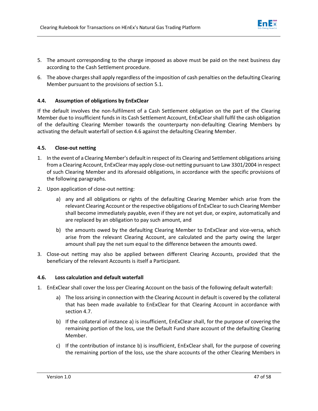- 5. The amount corresponding to the charge imposed as above must be paid on the next business day according to the Cash Settlement procedure.
- 6. The above charges shall apply regardless of the imposition of cash penalties on the defaulting Clearing Member pursuant to the provisions of section 5.1.

# **4.4. Assumption of obligations by EnExClear**

<span id="page-48-0"></span>If the default involves the non-fulfilment of a Cash Settlement obligation on the part of the Clearing Member due to insufficient funds in its Cash Settlement Account, EnExClear shall fulfil the cash obligation of the defaulting Clearing Member towards the counterparty non-defaulting Clearing Members by activating the default waterfall of section 4.6 against the defaulting Clearing Member.

## **4.5. Close-out netting**

- <span id="page-48-1"></span>1. In the event of a Clearing Member's default in respect of its Clearing and Settlement obligations arising from a Clearing Account, EnExClear may apply close-out netting pursuant to Law 3301/2004 in respect of such Clearing Member and its aforesaid obligations, in accordance with the specific provisions of the following paragraphs.
- 2. Upon application of close-out netting:
	- a) any and all obligations or rights of the defaulting Clearing Member which arise from the relevant Clearing Account or the respective obligations of EnExClear to such Clearing Member shall become immediately payable, even if they are not yet due, or expire, automatically and are replaced by an obligation to pay such amount, and
	- b) the amounts owed by the defaulting Clearing Member to EnExClear and vice-versa, which arise from the relevant Clearing Account, are calculated and the party owing the larger amount shall pay the net sum equal to the difference between the amounts owed.
- 3. Close-out netting may also be applied between different Clearing Accounts, provided that the beneficiary of the relevant Accounts is itself a Participant.

## **4.6. Loss calculation and default waterfall**

- <span id="page-48-2"></span>1. EnExClear shall cover the loss per Clearing Account on the basis of the following default waterfall:
	- a) The loss arising in connection with the Clearing Account in default is covered by the collateral that has been made available to EnExClear for that Clearing Account in accordance with section 4.7.
	- b) If the collateral of instance a) is insufficient, EnExClear shall, for the purpose of covering the remaining portion of the loss, use the Default Fund share account of the defaulting Clearing Member.
	- c) If the contribution of instance b) is insufficient, EnExClear shall, for the purpose of covering the remaining portion of the loss, use the share accounts of the other Clearing Members in

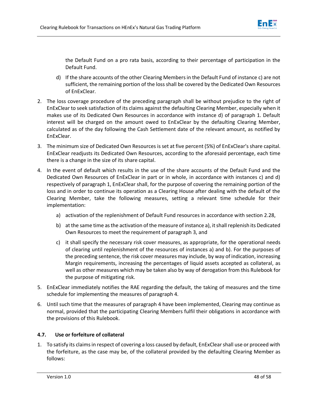

the Default Fund on a pro rata basis, according to their percentage of participation in the Default Fund.

- d) If the share accounts of the other Clearing Members in the Default Fund of instance c) are not sufficient, the remaining portion of the loss shall be covered by the Dedicated Own Resources of EnExClear.
- 2. The loss coverage procedure of the preceding paragraph shall be without prejudice to the right of EnExClear to seek satisfaction of its claims against the defaulting Clearing Member, especially when it makes use of its Dedicated Own Resources in accordance with instance d) of paragraph 1. Default interest will be charged on the amount owed to EnExClear by the defaulting Clearing Member, calculated as of the day following the Cash Settlement date of the relevant amount, as notified by EnExClear.
- 3. The minimum size of Dedicated Own Resources is set at five percent (5%) of EnExClear's share capital. EnExClear readjusts its Dedicated Own Resources, according to the aforesaid percentage, each time there is a change in the size of its share capital.
- 4. In the event of default which results in the use of the share accounts of the Default Fund and the Dedicated Own Resources of EnExClear in part or in whole, in accordance with instances c) and d) respectively of paragraph 1, EnExClear shall, for the purpose of covering the remaining portion of the loss and in order to continue its operation as a Clearing House after dealing with the default of the Clearing Member, take the following measures, setting a relevant time schedule for their implementation:
	- a) activation of the replenishment of Default Fund resources in accordance with section 2.28,
	- b) at the same time as the activation of the measure of instance a), it shall replenish its Dedicated Own Resources to meet the requirement of paragraph 3, and
	- c) it shall specify the necessary risk cover measures, as appropriate, for the operational needs of clearing until replenishment of the resources of instances a) and b). For the purposes of the preceding sentence, the risk cover measures may include, by way of indication, increasing Margin requirements, increasing the percentages of liquid assets accepted as collateral, as well as other measures which may be taken also by way of derogation from this Rulebook for the purpose of mitigating risk.
- 5. EnExClear immediately notifies the RAE regarding the default, the taking of measures and the time schedule for implementing the measures of paragraph 4.
- 6. Until such time that the measures of paragraph 4 have been implemented, Clearing may continue as normal, provided that the participating Clearing Members fulfil their obligations in accordance with the provisions of this Rulebook.

# **4.7. Use or forfeiture of collateral**

<span id="page-49-0"></span>1. To satisfy its claims in respect of covering a loss caused by default, EnExClear shall use or proceed with the forfeiture, as the case may be, of the collateral provided by the defaulting Clearing Member as follows: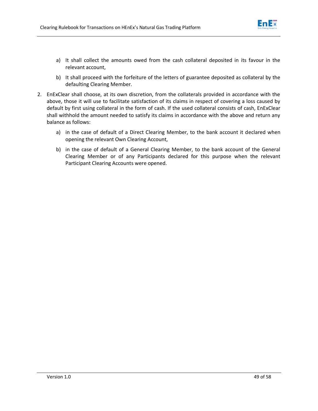

- a) It shall collect the amounts owed from the cash collateral deposited in its favour in the relevant account,
- b) It shall proceed with the forfeiture of the letters of guarantee deposited as collateral by the defaulting Clearing Member.
- 2. EnExClear shall choose, at its own discretion, from the collaterals provided in accordance with the above, those it will use to facilitate satisfaction of its claims in respect of covering a loss caused by default by first using collateral in the form of cash. If the used collateral consists of cash, EnExClear shall withhold the amount needed to satisfy its claims in accordance with the above and return any balance as follows:
	- a) in the case of default of a Direct Clearing Member, to the bank account it declared when opening the relevant Own Clearing Account,
	- b) in the case of default of a General Clearing Member, to the bank account of the General Clearing Member or of any Participants declared for this purpose when the relevant Participant Clearing Accounts were opened.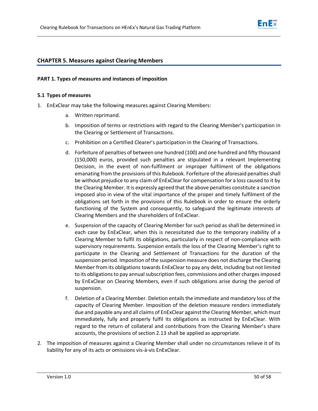

## **CHAPTER 5. Measures against Clearing Members**

## **PART 1. Types of measures and instances of imposition**

## **5.1 Types of measures**

- <span id="page-51-0"></span>1. EnExClear may take the following measures against Clearing Members:
	- a. Written reprimand.
	- b. Imposition of terms or restrictions with regard to the Clearing Member's participation in the Clearing or Settlement of Transactions.
	- c. Prohibition on a Certified Clearer's participation in the Clearing of Transactions.
	- d. Forfeiture of penalties of between one hundred (100) and one hundred and fifty thousand (150,000) euros, provided such penalties are stipulated in a relevant Implementing Decision, in the event of non-fulfilment or improper fulfilment of the obligations emanating from the provisions of this Rulebook. Forfeiture of the aforesaid penalties shall be without prejudice to any claim of EnExClear for compensation for a loss caused to it by the Clearing Member. It is expressly agreed that the above penalties constitute a sanction imposed also in view of the vital importance of the proper and timely fulfilment of the obligations set forth in the provisions of this Rulebook in order to ensure the orderly functioning of the System and consequently, to safeguard the legitimate interests of Clearing Members and the shareholders of EnExClear.
	- e. Suspension of the capacity of Clearing Member for such period as shall be determined in each case by EnExClear, when this is necessitated due to the temporary inability of a Clearing Member to fulfil its obligations, particularly in respect of non-compliance with supervisory requirements. Suspension entails the loss of the Clearing Member's right to participate in the Clearing and Settlement of Transactions for the duration of the suspension period. Imposition of the suspension measure does not discharge the Clearing Member from its obligations towards EnExClear to pay any debt, including but not limited to its obligations to pay annual subscription fees, commissions and other charges imposed by EnExClear on Clearing Members, even if such obligations arise during the period of suspension.
	- f. Deletion of a Clearing Member. Deletion entails the immediate and mandatory loss of the capacity of Clearing Member. Imposition of the deletion measure renders immediately due and payable any and all claims of EnExClear against the Clearing Member, which must immediately, fully and properly fulfil its obligations as instructed by EnExClear. With regard to the return of collateral and contributions from the Clearing Member's share accounts, the provisions of section 2.13 shall be applied as appropriate.
- 2. The imposition of measures against a Clearing Member shall under no circumstances relieve it of its liability for any of its acts or omissions vis-à-vis EnExClear.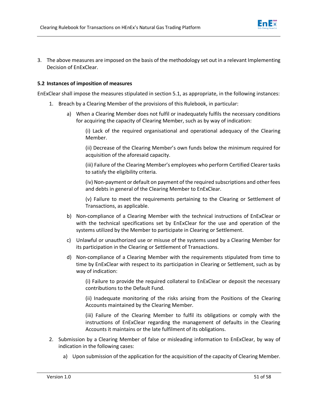

3. The above measures are imposed on the basis of the methodology set out in a relevant Implementing Decision of EnExClear.

# **5.2 Instances of imposition of measures**

<span id="page-52-0"></span>EnExClear shall impose the measures stipulated in section 5.1, as appropriate, in the following instances:

- 1. Breach by a Clearing Member of the provisions of this Rulebook, in particular:
	- a) When a Clearing Member does not fulfil or inadequately fulfils the necessary conditions for acquiring the capacity of Clearing Member, such as by way of indication:

(i) Lack of the required organisational and operational adequacy of the Clearing Member.

(ii) Decrease of the Clearing Member's own funds below the minimum required for acquisition of the aforesaid capacity.

(iii) Failure of the Clearing Member's employees who perform Certified Clearer tasks to satisfy the eligibility criteria.

(iv) Non-payment or default on payment of the required subscriptions and other fees and debts in general of the Clearing Member to EnExClear.

(v) Failure to meet the requirements pertaining to the Clearing or Settlement of Transactions, as applicable.

- b) Non-compliance of a Clearing Member with the technical instructions of EnExClear or with the technical specifications set by EnExClear for the use and operation of the systems utilized by the Member to participate in Clearing or Settlement.
- c) Unlawful or unauthorized use or misuse of the systems used by a Clearing Member for its participation in the Clearing or Settlement of Transactions.
- d) Non-compliance of a Clearing Member with the requirements stipulated from time to time by EnExClear with respect to its participation in Clearing or Settlement, such as by way of indication:

(i) Failure to provide the required collateral to EnExClear or deposit the necessary contributions to the Default Fund.

(ii) Inadequate monitoring of the risks arising from the Positions of the Clearing Accounts maintained by the Clearing Member.

(iii) Failure of the Clearing Member to fulfil its obligations or comply with the instructions of EnExClear regarding the management of defaults in the Clearing Accounts it maintains or the late fulfilment of its obligations.

- 2. Submission by a Clearing Member of false or misleading information to EnExClear, by way of indication in the following cases:
	- a) Upon submission of the application for the acquisition of the capacity of Clearing Member.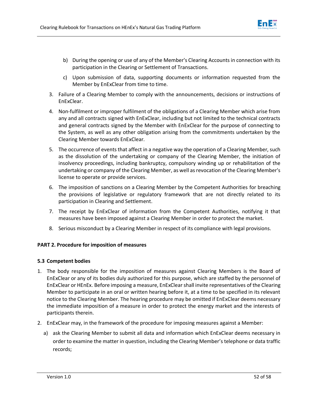

- b) During the opening or use of any of the Member's Clearing Accounts in connection with its participation in the Clearing or Settlement of Transactions.
- c) Upon submission of data, supporting documents or information requested from the Member by EnExClear from time to time.
- 3. Failure of a Clearing Member to comply with the announcements, decisions or instructions of EnExClear.
- 4. Non-fulfilment or improper fulfilment of the obligations of a Clearing Member which arise from any and all contracts signed with EnExClear, including but not limited to the technical contracts and general contracts signed by the Member with EnExClear for the purpose of connecting to the System, as well as any other obligation arising from the commitments undertaken by the Clearing Member towards EnExClear.
- 5. The occurrence of events that affect in a negative way the operation of a Clearing Member, such as the dissolution of the undertaking or company of the Clearing Member, the initiation of insolvency proceedings, including bankruptcy, compulsory winding up or rehabilitation of the undertaking or company of the Clearing Member, as well as revocation of the Clearing Member's license to operate or provide services.
- 6. The imposition of sanctions on a Clearing Member by the Competent Authorities for breaching the provisions of legislative or regulatory framework that are not directly related to its participation in Clearing and Settlement.
- 7. The receipt by EnExClear of information from the Competent Authorities, notifying it that measures have been imposed against a Clearing Member in order to protect the market.
- 8. Serious misconduct by a Clearing Member in respect of its compliance with legal provisions.

# **PART 2. Procedure for imposition of measures**

# **5.3 Competent bodies**

- <span id="page-53-0"></span>1. The body responsible for the imposition of measures against Clearing Members is the Board of EnExClear or any of its bodies duly authorized for this purpose, which are staffed by the personnel of EnExClear or HEnEx. Before imposing a measure, EnExClear shall invite representatives of the Clearing Member to participate in an oral or written hearing before it, at a time to be specified in its relevant notice to the Clearing Member. The hearing procedure may be omitted if EnExClear deems necessary the immediate imposition of a measure in order to protect the energy market and the interests of participants therein.
- 2. EnExClear may, in the framework of the procedure for imposing measures against a Member:
	- a) ask the Clearing Member to submit all data and information which EnExClear deems necessary in order to examine the matter in question, including the Clearing Member's telephone or data traffic records;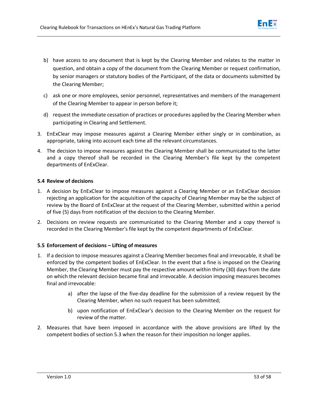

- b) have access to any document that is kept by the Clearing Member and relates to the matter in question, and obtain a copy of the document from the Clearing Member or request confirmation, by senior managers or statutory bodies of the Participant, of the data or documents submitted by the Clearing Member;
- c) ask one or more employees, senior personnel, representatives and members of the management of the Clearing Member to appear in person before it;
- d) request the immediate cessation of practices or procedures applied by the Clearing Member when participating in Clearing and Settlement.
- 3. EnExClear may impose measures against a Clearing Member either singly or in combination, as appropriate, taking into account each time all the relevant circumstances.
- 4. The decision to impose measures against the Clearing Member shall be communicated to the latter and a copy thereof shall be recorded in the Clearing Member's file kept by the competent departments of EnExClear.

# **5.4 Review of decisions**

- <span id="page-54-0"></span>1. A decision by EnExClear to impose measures against a Clearing Member or an EnExClear decision rejecting an application for the acquisition of the capacity of Clearing Member may be the subject of review by the Board of EnExClear at the request of the Clearing Member, submitted within a period of five (5) days from notification of the decision to the Clearing Member.
- 2. Decisions on review requests are communicated to the Clearing Member and a copy thereof is recorded in the Clearing Member's file kept by the competent departments of EnExClear.

# **5.5 Enforcement of decisions – Lifting of measures**

- <span id="page-54-1"></span>1. If a decision to impose measures against a Clearing Member becomes final and irrevocable, it shall be enforced by the competent bodies of EnExClear. In the event that a fine is imposed on the Clearing Member, the Clearing Member must pay the respective amount within thirty (30) days from the date on which the relevant decision became final and irrevocable. A decision imposing measures becomes final and irrevocable:
	- a) after the lapse of the five-day deadline for the submission of a review request by the Clearing Member, when no such request has been submitted;
	- b) upon notification of EnExClear's decision to the Clearing Member on the request for review of the matter.
- 2. Measures that have been imposed in accordance with the above provisions are lifted by the competent bodies of section 5.3 when the reason for their imposition no longer applies.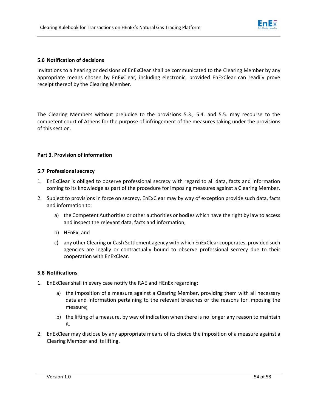

## **5.6 Notification of decisions**

<span id="page-55-0"></span>Invitations to a hearing or decisions of EnExClear shall be communicated to the Clearing Member by any appropriate means chosen by EnExClear, including electronic, provided EnExClear can readily prove receipt thereof by the Clearing Member.

The Clearing Members without prejudice to the provisions 5.3., 5.4. and 5.5. may recourse to the competent court of Athens for the purpose of infringement of the measures taking under the provisions of this section.

## **Part 3. Provision of information**

## **5.7 Professional secrecy**

- 1. EnExClear is obliged to observe professional secrecy with regard to all data, facts and information coming to its knowledge as part of the procedure for imposing measures against a Clearing Member.
- <span id="page-55-1"></span>2. Subject to provisions in force on secrecy, EnExClear may by way of exception provide such data, facts and information to:
	- a) the Competent Authorities or other authorities or bodies which have the right by law to access and inspect the relevant data, facts and information;
	- b) HEnEx, and
	- c) any other Clearing or Cash Settlement agency with which EnExClear cooperates, provided such agencies are legally or contractually bound to observe professional secrecy due to their cooperation with EnExClear.

## **5.8 Notifications**

- <span id="page-55-2"></span>1. EnExClear shall in every case notify the RAE and HEnEx regarding:
	- a) the imposition of a measure against a Clearing Member, providing them with all necessary data and information pertaining to the relevant breaches or the reasons for imposing the measure;
	- b) the lifting of a measure, by way of indication when there is no longer any reason to maintain it.
- 2. EnExClear may disclose by any appropriate means of its choice the imposition of a measure against a Clearing Member and its lifting.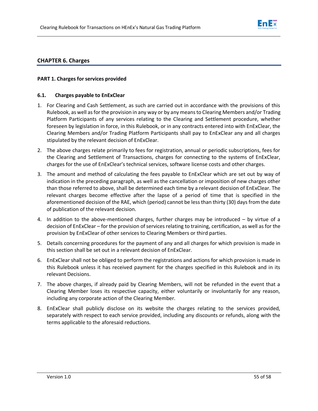

# **CHAPTER 6. Charges**

## **PART 1. Charges for services provided**

## **6.1. Charges payable to EnExClear**

- <span id="page-56-0"></span>1. For Clearing and Cash Settlement, as such are carried out in accordance with the provisions of this Rulebook, as well as for the provision in any way or by any means to Clearing Members and/or Trading Platform Participants of any services relating to the Clearing and Settlement procedure, whether foreseen by legislation in force, in this Rulebook, or in any contracts entered into with EnExClear, the Clearing Members and/or Trading Platform Participants shall pay to EnExClear any and all charges stipulated by the relevant decision of EnExClear.
- 2. The above charges relate primarily to fees for registration, annual or periodic subscriptions, fees for the Clearing and Settlement of Transactions, charges for connecting to the systems of EnExClear, charges for the use of EnExClear's technical services, software license costs and other charges.
- 3. The amount and method of calculating the fees payable to EnExClear which are set out by way of indication in the preceding paragraph, as well as the cancellation or imposition of new charges other than those referred to above, shall be determined each time by a relevant decision of EnExClear. The relevant charges become effective after the lapse of a period of time that is specified in the aforementioned decision of the RAE, which (period) cannot be less than thirty (30) days from the date of publication of the relevant decision.
- 4. In addition to the above-mentioned charges, further charges may be introduced by virtue of a decision of EnExClear – for the provision of services relating to training, certification, as well as for the provision by EnExClear of other services to Clearing Members or third parties.
- 5. Details concerning procedures for the payment of any and all charges for which provision is made in this section shall be set out in a relevant decision of EnExClear.
- 6. EnExClear shall not be obliged to perform the registrations and actions for which provision is made in this Rulebook unless it has received payment for the charges specified in this Rulebook and in its relevant Decisions.
- 7. The above charges, if already paid by Clearing Members, will not be refunded in the event that a Clearing Member loses its respective capacity, either voluntarily or involuntarily for any reason, including any corporate action of the Clearing Member.
- 8. EnExClear shall publicly disclose on its website the charges relating to the services provided, separately with respect to each service provided, including any discounts or refunds, along with the terms applicable to the aforesaid reductions.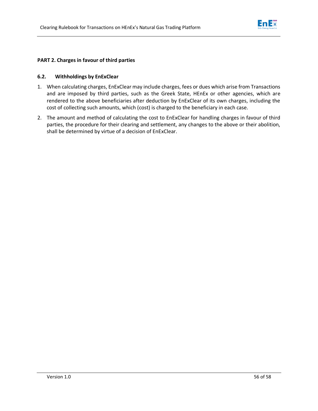

## **PART 2. Charges in favour of third parties**

## **6.2. Withholdings by EnExClear**

- <span id="page-57-0"></span>1. When calculating charges, EnExClear may include charges, fees or dues which arise from Transactions and are imposed by third parties, such as the Greek State, HEnEx or other agencies, which are rendered to the above beneficiaries after deduction by EnExClear of its own charges, including the cost of collecting such amounts, which (cost) is charged to the beneficiary in each case.
- 2. The amount and method of calculating the cost to EnExClear for handling charges in favour of third parties, the procedure for their clearing and settlement, any changes to the above or their abolition, shall be determined by virtue of a decision of EnExClear.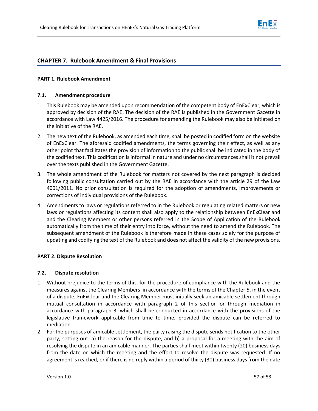

# **CHAPTER 7. Rulebook Amendment & Final Provisions**

## **PART 1. Rulebook Amendment**

## **7.1. Amendment procedure**

- <span id="page-58-0"></span>1. This Rulebook may be amended upon recommendation of the competent body of EnExClear, which is approved by decision of the RAE. The decision of the RAE is published in the Government Gazette in accordance with Law 4425/2016. The procedure for amending the Rulebook may also be initiated on the initiative of the RAE.
- 2. The new text of the Rulebook, as amended each time, shall be posted in codified form on the website of EnExClear. The aforesaid codified amendments, the terms governing their effect, as well as any other point that facilitates the provision of information to the public shall be indicated in the body of the codified text. This codification is informal in nature and under no circumstances shall it not prevail over the texts published in the Government Gazette.
- 3. The whole amendment of the Rulebook for matters not covered by the next paragraph is decided following public consultation carried out by the RAE in accordance with the article 29 of the Law 4001/2011. No prior consultation is required for the adoption of amendments, improvements or corrections of individual provisions of the Rulebook.
- 4. Amendments to laws or regulations referred to in the Rulebook or regulating related matters or new laws or regulations affecting its content shall also apply to the relationship between EnExClear and and the Clearing Members or other persons referred in the Scope of Application of the Rulebook automatically from the time of their entry into force, without the need to amend the Rulebook. The subsequent amendment of the Rulebook is therefore made in these cases solely for the purpose of updating and codifying the text of the Rulebook and does not affect the validity of the new provisions.

# **PART 2. Dispute Resolution**

## **7.2. Dispute resolution**

- <span id="page-58-1"></span>1. Without prejudice to the terms of this, for the procedure of compliance with the Rulebook and the measures against the Clearing Members in accordance with the terms of the Chapter 5, in the event of a dispute, EnExClear and the Clearing Member must initially seek an amicable settlement through mutual consultation in accordance with paragraph 2 of this section or through mediation in accordance with paragraph 3, which shall be conducted in accordance with the provisions of the legislative framework applicable from time to time, provided the dispute can be referred to mediation.
- 2. For the purposes of amicable settlement, the party raising the dispute sends notification to the other party, setting out: a) the reason for the dispute, and b) a proposal for a meeting with the aim of resolving the dispute in an amicable manner. The parties shall meet within twenty (20) business days from the date on which the meeting and the effort to resolve the dispute was requested. If no agreement is reached, or if there is no reply within a period of thirty (30) business days from the date